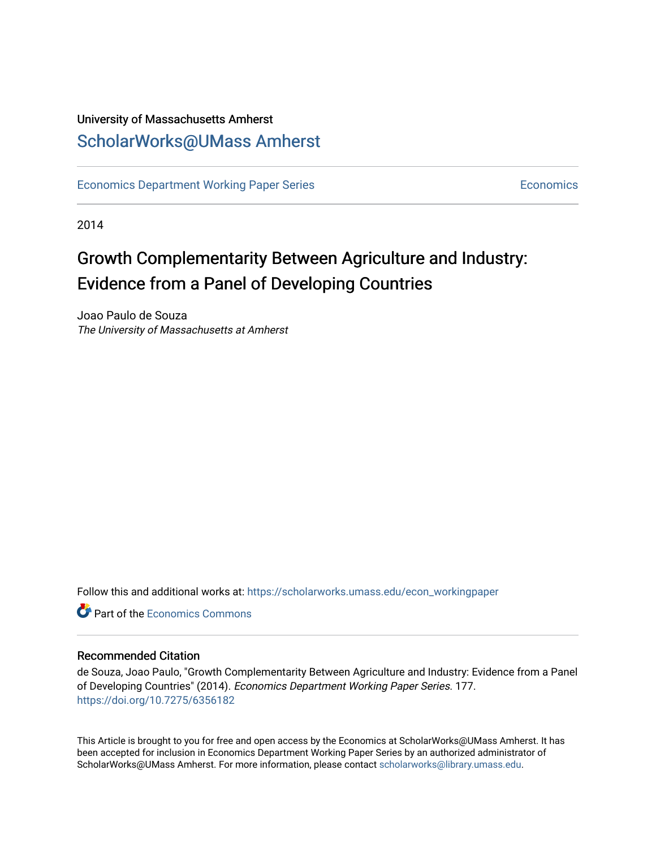## University of Massachusetts Amherst [ScholarWorks@UMass Amherst](https://scholarworks.umass.edu/)

[Economics Department Working Paper Series](https://scholarworks.umass.edu/econ_workingpaper) **Economics** [Economics](https://scholarworks.umass.edu/economics) Economics

2014

## Growth Complementarity Between Agriculture and Industry: Evidence from a Panel of Developing Countries

Joao Paulo de Souza The University of Massachusetts at Amherst

Follow this and additional works at: [https://scholarworks.umass.edu/econ\\_workingpaper](https://scholarworks.umass.edu/econ_workingpaper?utm_source=scholarworks.umass.edu%2Fecon_workingpaper%2F177&utm_medium=PDF&utm_campaign=PDFCoverPages) 

**C**<sup> $\bullet$ </sup> Part of the [Economics Commons](http://network.bepress.com/hgg/discipline/340?utm_source=scholarworks.umass.edu%2Fecon_workingpaper%2F177&utm_medium=PDF&utm_campaign=PDFCoverPages)

#### Recommended Citation

de Souza, Joao Paulo, "Growth Complementarity Between Agriculture and Industry: Evidence from a Panel of Developing Countries" (2014). Economics Department Working Paper Series. 177. <https://doi.org/10.7275/6356182>

This Article is brought to you for free and open access by the Economics at ScholarWorks@UMass Amherst. It has been accepted for inclusion in Economics Department Working Paper Series by an authorized administrator of ScholarWorks@UMass Amherst. For more information, please contact [scholarworks@library.umass.edu.](mailto:scholarworks@library.umass.edu)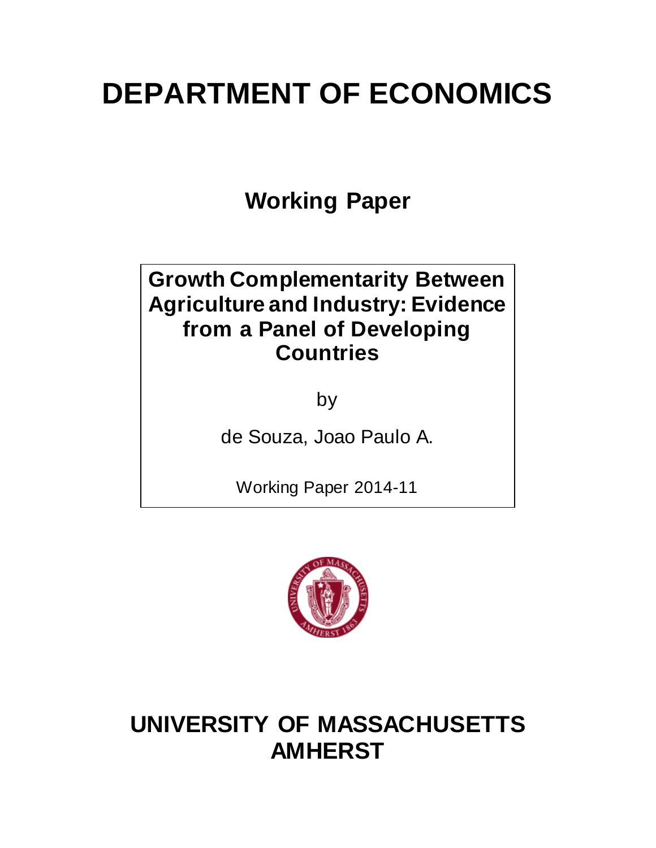# **DEPARTMENT OF ECONOMICS**

**Working Paper**

## **Growth Complementarity Between Agriculture and Industry: Evidence from a Panel of Developing Countries**

by

de Souza, Joao Paulo A.

Working Paper 2014-11



## **UNIVERSITY OF MASSACHUSETTS AMHERST**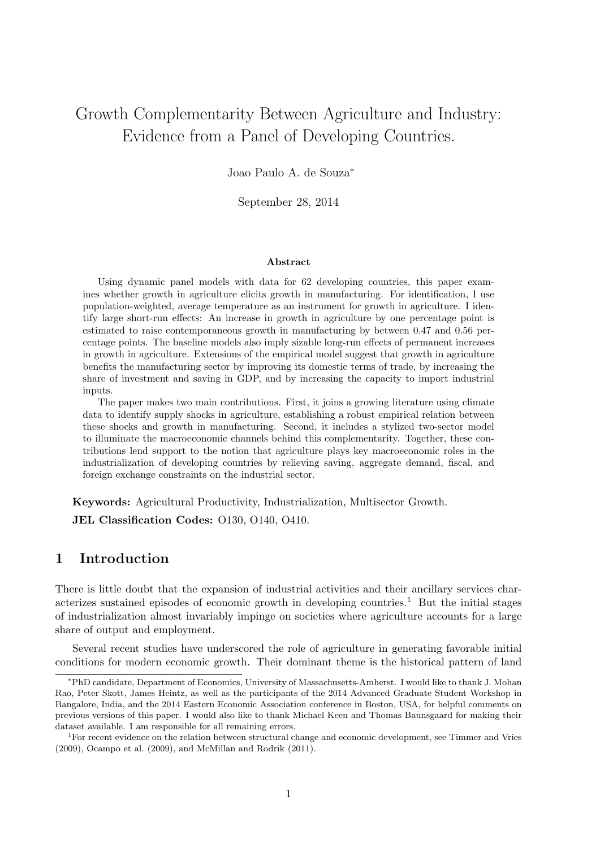## Growth Complementarity Between Agriculture and Industry: Evidence from a Panel of Developing Countries.

Joao Paulo A. de Souza<sup>∗</sup>

September 28, 2014

#### Abstract

Using dynamic panel models with data for 62 developing countries, this paper examines whether growth in agriculture elicits growth in manufacturing. For identification, I use population-weighted, average temperature as an instrument for growth in agriculture. I identify large short-run effects: An increase in growth in agriculture by one percentage point is estimated to raise contemporaneous growth in manufacturing by between 0.47 and 0.56 percentage points. The baseline models also imply sizable long-run effects of permanent increases in growth in agriculture. Extensions of the empirical model suggest that growth in agriculture benefits the manufacturing sector by improving its domestic terms of trade, by increasing the share of investment and saving in GDP, and by increasing the capacity to import industrial inputs.

The paper makes two main contributions. First, it joins a growing literature using climate data to identify supply shocks in agriculture, establishing a robust empirical relation between these shocks and growth in manufacturing. Second, it includes a stylized two-sector model to illuminate the macroeconomic channels behind this complementarity. Together, these contributions lend support to the notion that agriculture plays key macroeconomic roles in the industrialization of developing countries by relieving saving, aggregate demand, fiscal, and foreign exchange constraints on the industrial sector.

Keywords: Agricultural Productivity, Industrialization, Multisector Growth.

JEL Classification Codes: O130, O140, O410.

## 1 Introduction

There is little doubt that the expansion of industrial activities and their ancillary services characterizes sustained episodes of economic growth in developing countries.<sup>1</sup> But the initial stages of industrialization almost invariably impinge on societies where agriculture accounts for a large share of output and employment.

Several recent studies have underscored the role of agriculture in generating favorable initial conditions for modern economic growth. Their dominant theme is the historical pattern of land

<sup>∗</sup>PhD candidate, Department of Economics, University of Massachusetts-Amherst. I would like to thank J. Mohan Rao, Peter Skott, James Heintz, as well as the participants of the 2014 Advanced Graduate Student Workshop in Bangalore, India, and the 2014 Eastern Economic Association conference in Boston, USA, for helpful comments on previous versions of this paper. I would also like to thank Michael Keen and Thomas Baunsgaard for making their dataset available. I am responsible for all remaining errors.

<sup>1</sup>For recent evidence on the relation between structural change and economic development, see Timmer and Vries (2009), Ocampo et al. (2009), and McMillan and Rodrik (2011).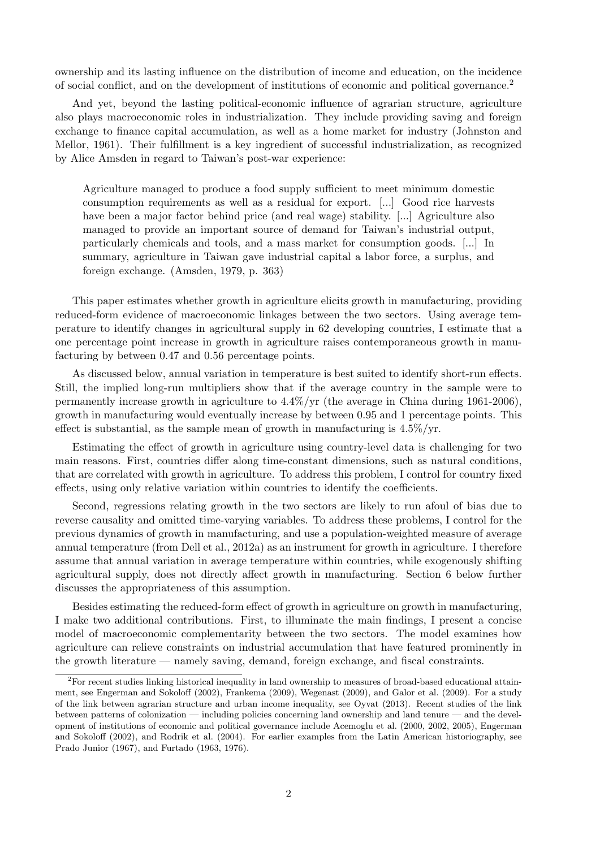ownership and its lasting influence on the distribution of income and education, on the incidence of social conflict, and on the development of institutions of economic and political governance.<sup>2</sup>

And yet, beyond the lasting political-economic influence of agrarian structure, agriculture also plays macroeconomic roles in industrialization. They include providing saving and foreign exchange to finance capital accumulation, as well as a home market for industry (Johnston and Mellor, 1961). Their fulfillment is a key ingredient of successful industrialization, as recognized by Alice Amsden in regard to Taiwan's post-war experience:

Agriculture managed to produce a food supply sufficient to meet minimum domestic consumption requirements as well as a residual for export. [...] Good rice harvests have been a major factor behind price (and real wage) stability. [...] Agriculture also managed to provide an important source of demand for Taiwan's industrial output, particularly chemicals and tools, and a mass market for consumption goods. [...] In summary, agriculture in Taiwan gave industrial capital a labor force, a surplus, and foreign exchange. (Amsden, 1979, p. 363)

This paper estimates whether growth in agriculture elicits growth in manufacturing, providing reduced-form evidence of macroeconomic linkages between the two sectors. Using average temperature to identify changes in agricultural supply in 62 developing countries, I estimate that a one percentage point increase in growth in agriculture raises contemporaneous growth in manufacturing by between 0.47 and 0.56 percentage points.

As discussed below, annual variation in temperature is best suited to identify short-run effects. Still, the implied long-run multipliers show that if the average country in the sample were to permanently increase growth in agriculture to 4.4%/yr (the average in China during 1961-2006), growth in manufacturing would eventually increase by between 0.95 and 1 percentage points. This effect is substantial, as the sample mean of growth in manufacturing is  $4.5\%$ /yr.

Estimating the effect of growth in agriculture using country-level data is challenging for two main reasons. First, countries differ along time-constant dimensions, such as natural conditions, that are correlated with growth in agriculture. To address this problem, I control for country fixed effects, using only relative variation within countries to identify the coefficients.

Second, regressions relating growth in the two sectors are likely to run afoul of bias due to reverse causality and omitted time-varying variables. To address these problems, I control for the previous dynamics of growth in manufacturing, and use a population-weighted measure of average annual temperature (from Dell et al., 2012a) as an instrument for growth in agriculture. I therefore assume that annual variation in average temperature within countries, while exogenously shifting agricultural supply, does not directly affect growth in manufacturing. Section 6 below further discusses the appropriateness of this assumption.

Besides estimating the reduced-form effect of growth in agriculture on growth in manufacturing, I make two additional contributions. First, to illuminate the main findings, I present a concise model of macroeconomic complementarity between the two sectors. The model examines how agriculture can relieve constraints on industrial accumulation that have featured prominently in the growth literature — namely saving, demand, foreign exchange, and fiscal constraints.

<sup>2</sup>For recent studies linking historical inequality in land ownership to measures of broad-based educational attainment, see Engerman and Sokoloff (2002), Frankema (2009), Wegenast (2009), and Galor et al. (2009). For a study of the link between agrarian structure and urban income inequality, see Oyvat (2013). Recent studies of the link between patterns of colonization — including policies concerning land ownership and land tenure — and the development of institutions of economic and political governance include Acemoglu et al. (2000, 2002, 2005), Engerman and Sokoloff (2002), and Rodrik et al. (2004). For earlier examples from the Latin American historiography, see Prado Junior (1967), and Furtado (1963, 1976).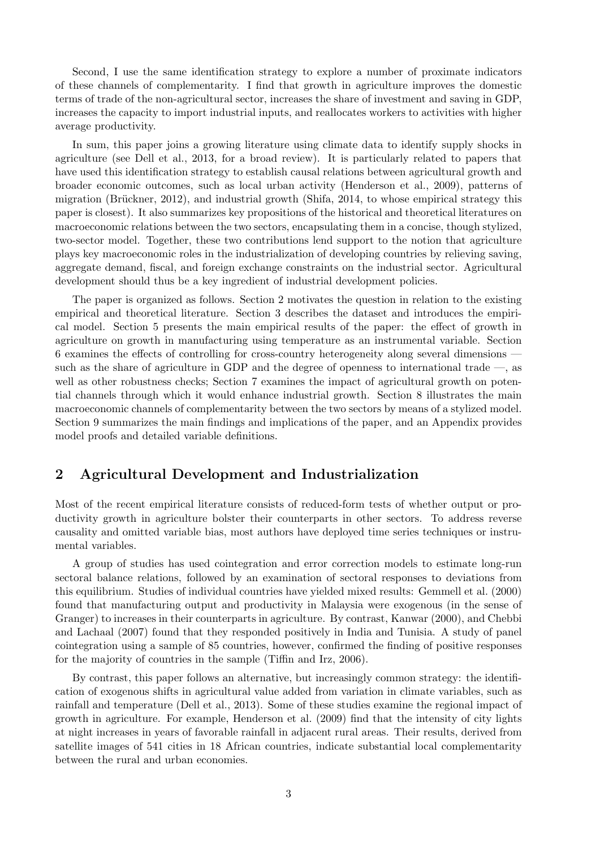Second, I use the same identification strategy to explore a number of proximate indicators of these channels of complementarity. I find that growth in agriculture improves the domestic terms of trade of the non-agricultural sector, increases the share of investment and saving in GDP, increases the capacity to import industrial inputs, and reallocates workers to activities with higher average productivity.

In sum, this paper joins a growing literature using climate data to identify supply shocks in agriculture (see Dell et al., 2013, for a broad review). It is particularly related to papers that have used this identification strategy to establish causal relations between agricultural growth and broader economic outcomes, such as local urban activity (Henderson et al., 2009), patterns of migration (Brückner, 2012), and industrial growth (Shifa, 2014, to whose empirical strategy this paper is closest). It also summarizes key propositions of the historical and theoretical literatures on macroeconomic relations between the two sectors, encapsulating them in a concise, though stylized, two-sector model. Together, these two contributions lend support to the notion that agriculture plays key macroeconomic roles in the industrialization of developing countries by relieving saving, aggregate demand, fiscal, and foreign exchange constraints on the industrial sector. Agricultural development should thus be a key ingredient of industrial development policies.

The paper is organized as follows. Section 2 motivates the question in relation to the existing empirical and theoretical literature. Section 3 describes the dataset and introduces the empirical model. Section 5 presents the main empirical results of the paper: the effect of growth in agriculture on growth in manufacturing using temperature as an instrumental variable. Section 6 examines the effects of controlling for cross-country heterogeneity along several dimensions such as the share of agriculture in GDP and the degree of openness to international trade —, as well as other robustness checks; Section 7 examines the impact of agricultural growth on potential channels through which it would enhance industrial growth. Section 8 illustrates the main macroeconomic channels of complementarity between the two sectors by means of a stylized model. Section 9 summarizes the main findings and implications of the paper, and an Appendix provides model proofs and detailed variable definitions.

## 2 Agricultural Development and Industrialization

Most of the recent empirical literature consists of reduced-form tests of whether output or productivity growth in agriculture bolster their counterparts in other sectors. To address reverse causality and omitted variable bias, most authors have deployed time series techniques or instrumental variables.

A group of studies has used cointegration and error correction models to estimate long-run sectoral balance relations, followed by an examination of sectoral responses to deviations from this equilibrium. Studies of individual countries have yielded mixed results: Gemmell et al. (2000) found that manufacturing output and productivity in Malaysia were exogenous (in the sense of Granger) to increases in their counterparts in agriculture. By contrast, Kanwar (2000), and Chebbi and Lachaal (2007) found that they responded positively in India and Tunisia. A study of panel cointegration using a sample of 85 countries, however, confirmed the finding of positive responses for the majority of countries in the sample (Tiffin and Irz, 2006).

By contrast, this paper follows an alternative, but increasingly common strategy: the identification of exogenous shifts in agricultural value added from variation in climate variables, such as rainfall and temperature (Dell et al., 2013). Some of these studies examine the regional impact of growth in agriculture. For example, Henderson et al. (2009) find that the intensity of city lights at night increases in years of favorable rainfall in adjacent rural areas. Their results, derived from satellite images of 541 cities in 18 African countries, indicate substantial local complementarity between the rural and urban economies.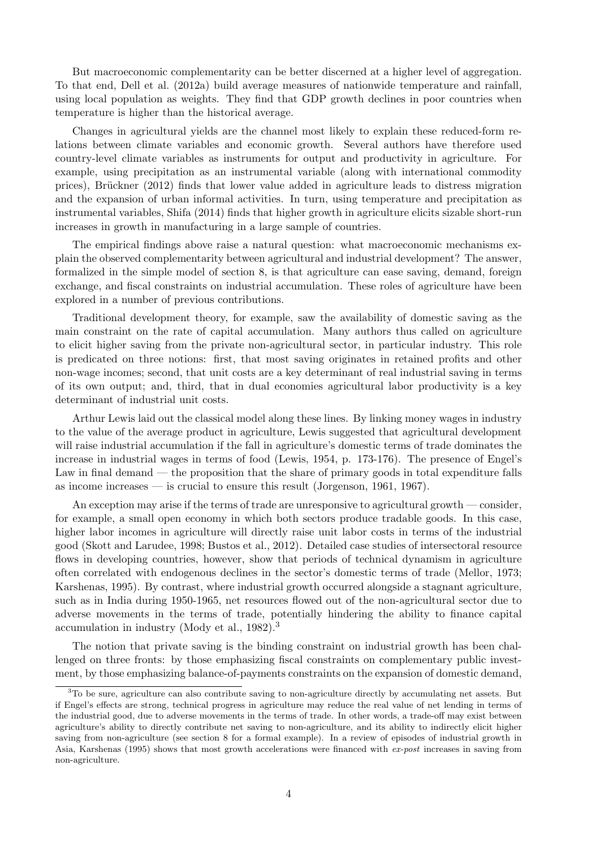But macroeconomic complementarity can be better discerned at a higher level of aggregation. To that end, Dell et al. (2012a) build average measures of nationwide temperature and rainfall, using local population as weights. They find that GDP growth declines in poor countries when temperature is higher than the historical average.

Changes in agricultural yields are the channel most likely to explain these reduced-form relations between climate variables and economic growth. Several authors have therefore used country-level climate variables as instruments for output and productivity in agriculture. For example, using precipitation as an instrumental variable (along with international commodity prices), Brückner (2012) finds that lower value added in agriculture leads to distress migration and the expansion of urban informal activities. In turn, using temperature and precipitation as instrumental variables, Shifa (2014) finds that higher growth in agriculture elicits sizable short-run increases in growth in manufacturing in a large sample of countries.

The empirical findings above raise a natural question: what macroeconomic mechanisms explain the observed complementarity between agricultural and industrial development? The answer, formalized in the simple model of section 8, is that agriculture can ease saving, demand, foreign exchange, and fiscal constraints on industrial accumulation. These roles of agriculture have been explored in a number of previous contributions.

Traditional development theory, for example, saw the availability of domestic saving as the main constraint on the rate of capital accumulation. Many authors thus called on agriculture to elicit higher saving from the private non-agricultural sector, in particular industry. This role is predicated on three notions: first, that most saving originates in retained profits and other non-wage incomes; second, that unit costs are a key determinant of real industrial saving in terms of its own output; and, third, that in dual economies agricultural labor productivity is a key determinant of industrial unit costs.

Arthur Lewis laid out the classical model along these lines. By linking money wages in industry to the value of the average product in agriculture, Lewis suggested that agricultural development will raise industrial accumulation if the fall in agriculture's domestic terms of trade dominates the increase in industrial wages in terms of food (Lewis, 1954, p. 173-176). The presence of Engel's Law in final demand — the proposition that the share of primary goods in total expenditure falls as income increases — is crucial to ensure this result (Jorgenson, 1961, 1967).

An exception may arise if the terms of trade are unresponsive to agricultural growth — consider, for example, a small open economy in which both sectors produce tradable goods. In this case, higher labor incomes in agriculture will directly raise unit labor costs in terms of the industrial good (Skott and Larudee, 1998; Bustos et al., 2012). Detailed case studies of intersectoral resource flows in developing countries, however, show that periods of technical dynamism in agriculture often correlated with endogenous declines in the sector's domestic terms of trade (Mellor, 1973; Karshenas, 1995). By contrast, where industrial growth occurred alongside a stagnant agriculture, such as in India during 1950-1965, net resources flowed out of the non-agricultural sector due to adverse movements in the terms of trade, potentially hindering the ability to finance capital accumulation in industry (Mody et al., 1982).<sup>3</sup>

The notion that private saving is the binding constraint on industrial growth has been challenged on three fronts: by those emphasizing fiscal constraints on complementary public investment, by those emphasizing balance-of-payments constraints on the expansion of domestic demand,

<sup>3</sup>To be sure, agriculture can also contribute saving to non-agriculture directly by accumulating net assets. But if Engel's effects are strong, technical progress in agriculture may reduce the real value of net lending in terms of the industrial good, due to adverse movements in the terms of trade. In other words, a trade-off may exist between agriculture's ability to directly contribute net saving to non-agriculture, and its ability to indirectly elicit higher saving from non-agriculture (see section 8 for a formal example). In a review of episodes of industrial growth in Asia, Karshenas (1995) shows that most growth accelerations were financed with ex-post increases in saving from non-agriculture.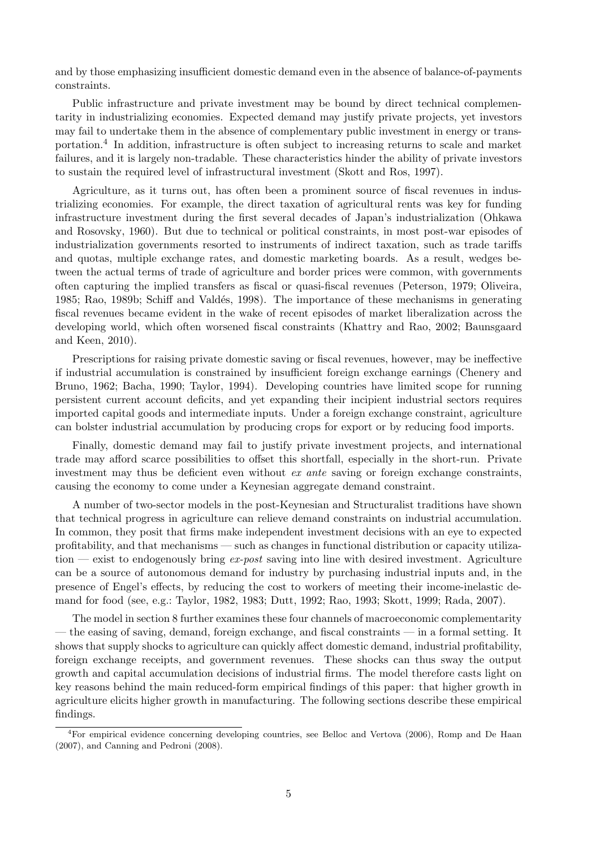and by those emphasizing insufficient domestic demand even in the absence of balance-of-payments constraints.

Public infrastructure and private investment may be bound by direct technical complementarity in industrializing economies. Expected demand may justify private projects, yet investors may fail to undertake them in the absence of complementary public investment in energy or transportation.<sup>4</sup> In addition, infrastructure is often subject to increasing returns to scale and market failures, and it is largely non-tradable. These characteristics hinder the ability of private investors to sustain the required level of infrastructural investment (Skott and Ros, 1997).

Agriculture, as it turns out, has often been a prominent source of fiscal revenues in industrializing economies. For example, the direct taxation of agricultural rents was key for funding infrastructure investment during the first several decades of Japan's industrialization (Ohkawa and Rosovsky, 1960). But due to technical or political constraints, in most post-war episodes of industrialization governments resorted to instruments of indirect taxation, such as trade tariffs and quotas, multiple exchange rates, and domestic marketing boards. As a result, wedges between the actual terms of trade of agriculture and border prices were common, with governments often capturing the implied transfers as fiscal or quasi-fiscal revenues (Peterson, 1979; Oliveira, 1985; Rao, 1989b; Schiff and Valdés, 1998). The importance of these mechanisms in generating fiscal revenues became evident in the wake of recent episodes of market liberalization across the developing world, which often worsened fiscal constraints (Khattry and Rao, 2002; Baunsgaard and Keen, 2010).

Prescriptions for raising private domestic saving or fiscal revenues, however, may be ineffective if industrial accumulation is constrained by insufficient foreign exchange earnings (Chenery and Bruno, 1962; Bacha, 1990; Taylor, 1994). Developing countries have limited scope for running persistent current account deficits, and yet expanding their incipient industrial sectors requires imported capital goods and intermediate inputs. Under a foreign exchange constraint, agriculture can bolster industrial accumulation by producing crops for export or by reducing food imports.

Finally, domestic demand may fail to justify private investment projects, and international trade may afford scarce possibilities to offset this shortfall, especially in the short-run. Private investment may thus be deficient even without ex ante saving or foreign exchange constraints, causing the economy to come under a Keynesian aggregate demand constraint.

A number of two-sector models in the post-Keynesian and Structuralist traditions have shown that technical progress in agriculture can relieve demand constraints on industrial accumulation. In common, they posit that firms make independent investment decisions with an eye to expected profitability, and that mechanisms — such as changes in functional distribution or capacity utilization — exist to endogenously bring  $ex\text{-}post$  saving into line with desired investment. Agriculture can be a source of autonomous demand for industry by purchasing industrial inputs and, in the presence of Engel's effects, by reducing the cost to workers of meeting their income-inelastic demand for food (see, e.g.: Taylor, 1982, 1983; Dutt, 1992; Rao, 1993; Skott, 1999; Rada, 2007).

The model in section 8 further examines these four channels of macroeconomic complementarity — the easing of saving, demand, foreign exchange, and fiscal constraints — in a formal setting. It shows that supply shocks to agriculture can quickly affect domestic demand, industrial profitability, foreign exchange receipts, and government revenues. These shocks can thus sway the output growth and capital accumulation decisions of industrial firms. The model therefore casts light on key reasons behind the main reduced-form empirical findings of this paper: that higher growth in agriculture elicits higher growth in manufacturing. The following sections describe these empirical findings.

<sup>4</sup>For empirical evidence concerning developing countries, see Belloc and Vertova (2006), Romp and De Haan (2007), and Canning and Pedroni (2008).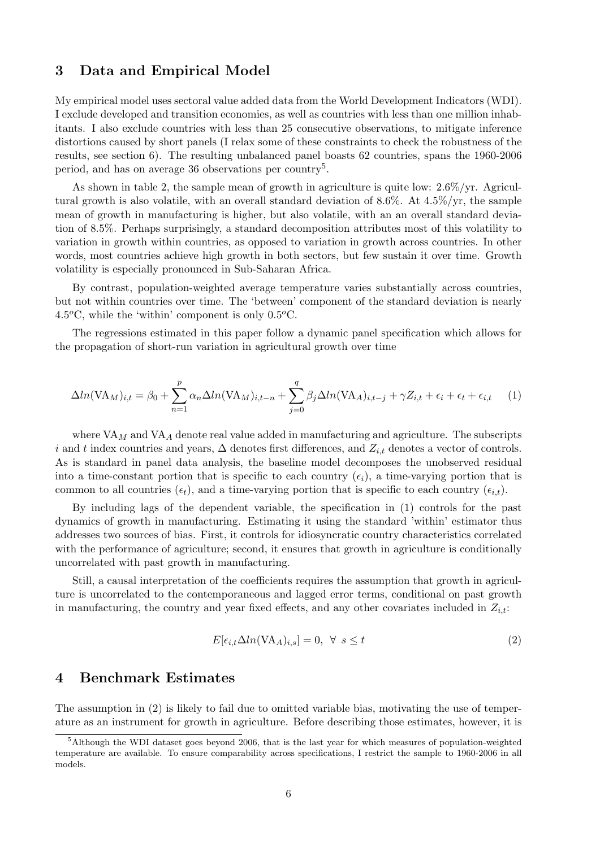### 3 Data and Empirical Model

My empirical model uses sectoral value added data from the World Development Indicators (WDI). I exclude developed and transition economies, as well as countries with less than one million inhabitants. I also exclude countries with less than 25 consecutive observations, to mitigate inference distortions caused by short panels (I relax some of these constraints to check the robustness of the results, see section 6). The resulting unbalanced panel boasts 62 countries, spans the 1960-2006 period, and has on average 36 observations per country<sup>5</sup>.

As shown in table 2, the sample mean of growth in agriculture is quite low: 2.6%/yr. Agricultural growth is also volatile, with an overall standard deviation of 8.6%. At 4.5%/yr, the sample mean of growth in manufacturing is higher, but also volatile, with an an overall standard deviation of 8.5%. Perhaps surprisingly, a standard decomposition attributes most of this volatility to variation in growth within countries, as opposed to variation in growth across countries. In other words, most countries achieve high growth in both sectors, but few sustain it over time. Growth volatility is especially pronounced in Sub-Saharan Africa.

By contrast, population-weighted average temperature varies substantially across countries, but not within countries over time. The 'between' component of the standard deviation is nearly 4.5 $^{\circ}$ C, while the 'within' component is only 0.5 $^{\circ}$ C.

The regressions estimated in this paper follow a dynamic panel specification which allows for the propagation of short-run variation in agricultural growth over time

$$
\Delta ln(\text{VA}_M)_{i,t} = \beta_0 + \sum_{n=1}^p \alpha_n \Delta ln(\text{VA}_M)_{i,t-n} + \sum_{j=0}^q \beta_j \Delta ln(\text{VA}_A)_{i,t-j} + \gamma Z_{i,t} + \epsilon_i + \epsilon_t + \epsilon_{i,t} \tag{1}
$$

where  $VA_M$  and  $VA_A$  denote real value added in manufacturing and agriculture. The subscripts i and t index countries and years,  $\Delta$  denotes first differences, and  $Z_{i,t}$  denotes a vector of controls. As is standard in panel data analysis, the baseline model decomposes the unobserved residual into a time-constant portion that is specific to each country  $(\epsilon_i)$ , a time-varying portion that is common to all countries  $(\epsilon_t)$ , and a time-varying portion that is specific to each country  $(\epsilon_{i,t})$ .

By including lags of the dependent variable, the specification in (1) controls for the past dynamics of growth in manufacturing. Estimating it using the standard 'within' estimator thus addresses two sources of bias. First, it controls for idiosyncratic country characteristics correlated with the performance of agriculture; second, it ensures that growth in agriculture is conditionally uncorrelated with past growth in manufacturing.

Still, a causal interpretation of the coefficients requires the assumption that growth in agriculture is uncorrelated to the contemporaneous and lagged error terms, conditional on past growth in manufacturing, the country and year fixed effects, and any other covariates included in  $Z_{i,t}$ :

$$
E[\epsilon_{i,t}\Delta ln(\text{VA}_A)_{i,s}] = 0, \ \forall \ s \le t \tag{2}
$$

#### 4 Benchmark Estimates

The assumption in (2) is likely to fail due to omitted variable bias, motivating the use of temperature as an instrument for growth in agriculture. Before describing those estimates, however, it is

<sup>&</sup>lt;sup>5</sup>Although the WDI dataset goes beyond 2006, that is the last year for which measures of population-weighted temperature are available. To ensure comparability across specifications, I restrict the sample to 1960-2006 in all models.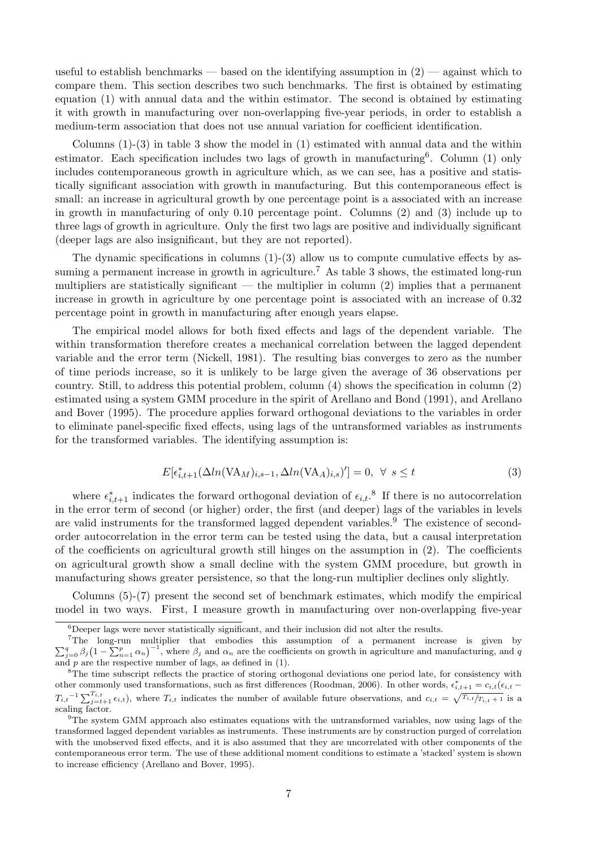useful to establish benchmarks — based on the identifying assumption in  $(2)$  — against which to compare them. This section describes two such benchmarks. The first is obtained by estimating equation (1) with annual data and the within estimator. The second is obtained by estimating it with growth in manufacturing over non-overlapping five-year periods, in order to establish a medium-term association that does not use annual variation for coefficient identification.

Columns  $(1)-(3)$  in table 3 show the model in  $(1)$  estimated with annual data and the within estimator. Each specification includes two lags of growth in manufacturing<sup>6</sup>. Column (1) only includes contemporaneous growth in agriculture which, as we can see, has a positive and statistically significant association with growth in manufacturing. But this contemporaneous effect is small: an increase in agricultural growth by one percentage point is a associated with an increase in growth in manufacturing of only 0.10 percentage point. Columns (2) and (3) include up to three lags of growth in agriculture. Only the first two lags are positive and individually significant (deeper lags are also insignificant, but they are not reported).

The dynamic specifications in columns  $(1)-(3)$  allow us to compute cumulative effects by assuming a permanent increase in growth in agriculture.<sup>7</sup> As table 3 shows, the estimated long-run multipliers are statistically significant — the multiplier in column  $(2)$  implies that a permanent increase in growth in agriculture by one percentage point is associated with an increase of 0.32 percentage point in growth in manufacturing after enough years elapse.

The empirical model allows for both fixed effects and lags of the dependent variable. The within transformation therefore creates a mechanical correlation between the lagged dependent variable and the error term (Nickell, 1981). The resulting bias converges to zero as the number of time periods increase, so it is unlikely to be large given the average of 36 observations per country. Still, to address this potential problem, column (4) shows the specification in column (2) estimated using a system GMM procedure in the spirit of Arellano and Bond (1991), and Arellano and Bover (1995). The procedure applies forward orthogonal deviations to the variables in order to eliminate panel-specific fixed effects, using lags of the untransformed variables as instruments for the transformed variables. The identifying assumption is:

$$
E[\epsilon_{i,t+1}^*(\Delta ln(\text{VA}_M)_{i,s-1}, \Delta ln(\text{VA}_A)_{i,s})'] = 0, \ \forall \ s \le t
$$
\n(3)

where  $\epsilon_{i,t+1}^*$  indicates the forward orthogonal deviation of  $\epsilon_{i,t}$ .<sup>8</sup> If there is no autocorrelation in the error term of second (or higher) order, the first (and deeper) lags of the variables in levels are valid instruments for the transformed lagged dependent variables.<sup>9</sup> The existence of secondorder autocorrelation in the error term can be tested using the data, but a causal interpretation of the coefficients on agricultural growth still hinges on the assumption in (2). The coefficients on agricultural growth show a small decline with the system GMM procedure, but growth in manufacturing shows greater persistence, so that the long-run multiplier declines only slightly.

Columns (5)-(7) present the second set of benchmark estimates, which modify the empirical model in two ways. First, I measure growth in manufacturing over non-overlapping five-year

<sup>&</sup>lt;sup>6</sup>Deeper lags were never statistically significant, and their inclusion did not alter the results.

<sup>&</sup>lt;sup>7</sup>The long-run multiplier that embodies this assumption of a permanent increase is given by  $\sum_{j=0}^{q} \beta_j (1 - \sum_{n=1}^{p} \alpha_n)^{-1}$ , where  $\beta_j$  and  $\alpha_n$  are the coefficients on growth in agriculture and manufacturing, and q and p are the respective number of lags, as defined in (1).

<sup>&</sup>lt;sup>8</sup>The time subscript reflects the practice of storing orthogonal deviations one period late, for consistency with other commonly used transformations, such as first differences (Roodman, 2006). In other words,  $\epsilon_{i,t+1}^* = c_{i,t}(\epsilon_{i,t} - \epsilon_{i,t})$  $T_{i,t}$ <sup>-1</sup> $\sum_{j=t+1}^{T_{i,t}} \epsilon_{i,t}$ , where  $T_{i,t}$  indicates the number of available future observations, and  $c_{i,t} = \sqrt{T_{i,t}/T_{i,t+1}}$  is a scaling factor.

<sup>&</sup>lt;sup>9</sup>The system GMM approach also estimates equations with the untransformed variables, now using lags of the transformed lagged dependent variables as instruments. These instruments are by construction purged of correlation with the unobserved fixed effects, and it is also assumed that they are uncorrelated with other components of the contemporaneous error term. The use of these additional moment conditions to estimate a 'stacked' system is shown to increase efficiency (Arellano and Bover, 1995).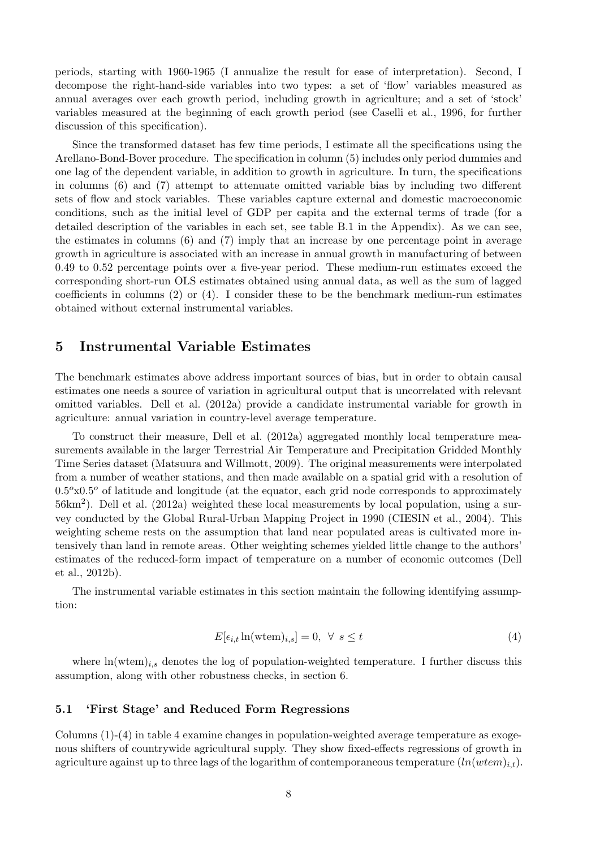periods, starting with 1960-1965 (I annualize the result for ease of interpretation). Second, I decompose the right-hand-side variables into two types: a set of 'flow' variables measured as annual averages over each growth period, including growth in agriculture; and a set of 'stock' variables measured at the beginning of each growth period (see Caselli et al., 1996, for further discussion of this specification).

Since the transformed dataset has few time periods, I estimate all the specifications using the Arellano-Bond-Bover procedure. The specification in column (5) includes only period dummies and one lag of the dependent variable, in addition to growth in agriculture. In turn, the specifications in columns (6) and (7) attempt to attenuate omitted variable bias by including two different sets of flow and stock variables. These variables capture external and domestic macroeconomic conditions, such as the initial level of GDP per capita and the external terms of trade (for a detailed description of the variables in each set, see table B.1 in the Appendix). As we can see, the estimates in columns (6) and (7) imply that an increase by one percentage point in average growth in agriculture is associated with an increase in annual growth in manufacturing of between 0.49 to 0.52 percentage points over a five-year period. These medium-run estimates exceed the corresponding short-run OLS estimates obtained using annual data, as well as the sum of lagged coefficients in columns (2) or (4). I consider these to be the benchmark medium-run estimates obtained without external instrumental variables.

### 5 Instrumental Variable Estimates

The benchmark estimates above address important sources of bias, but in order to obtain causal estimates one needs a source of variation in agricultural output that is uncorrelated with relevant omitted variables. Dell et al. (2012a) provide a candidate instrumental variable for growth in agriculture: annual variation in country-level average temperature.

To construct their measure, Dell et al. (2012a) aggregated monthly local temperature measurements available in the larger Terrestrial Air Temperature and Precipitation Gridded Monthly Time Series dataset (Matsuura and Willmott, 2009). The original measurements were interpolated from a number of weather stations, and then made available on a spatial grid with a resolution of  $0.5^{\circ}x0.5^{\circ}$  of latitude and longitude (at the equator, each grid node corresponds to approximately  $56 \text{km}^2$ ). Dell et al. (2012a) weighted these local measurements by local population, using a survey conducted by the Global Rural-Urban Mapping Project in 1990 (CIESIN et al., 2004). This weighting scheme rests on the assumption that land near populated areas is cultivated more intensively than land in remote areas. Other weighting schemes yielded little change to the authors' estimates of the reduced-form impact of temperature on a number of economic outcomes (Dell et al., 2012b).

The instrumental variable estimates in this section maintain the following identifying assumption:

$$
E[\epsilon_{i,t} \ln(\text{wtem})_{i,s}] = 0, \ \forall \ s \le t \tag{4}
$$

where  $ln(wtem)_{i,s}$  denotes the log of population-weighted temperature. I further discuss this assumption, along with other robustness checks, in section 6.

#### 5.1 'First Stage' and Reduced Form Regressions

Columns (1)-(4) in table 4 examine changes in population-weighted average temperature as exogenous shifters of countrywide agricultural supply. They show fixed-effects regressions of growth in agriculture against up to three lags of the logarithm of contemporaneous temperature  $(ln(wtem)_{i,t}).$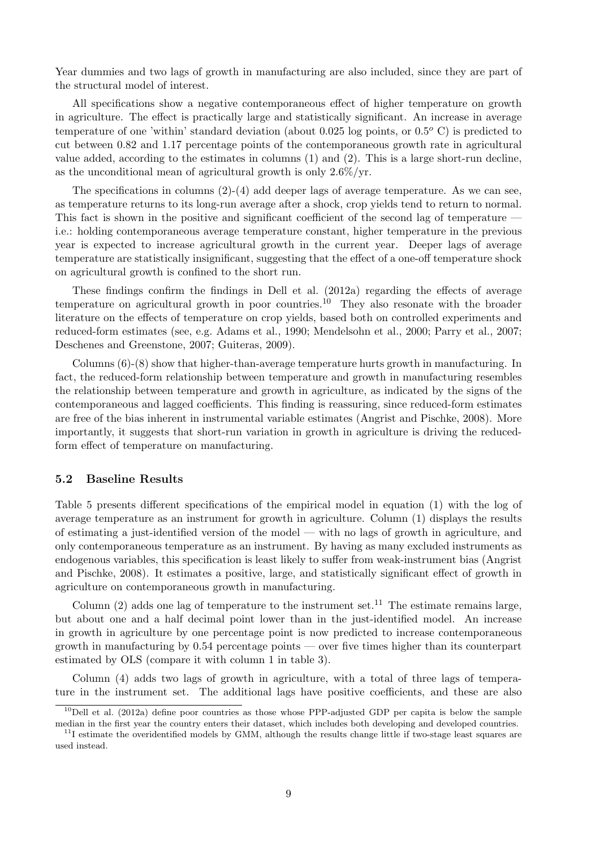Year dummies and two lags of growth in manufacturing are also included, since they are part of the structural model of interest.

All specifications show a negative contemporaneous effect of higher temperature on growth in agriculture. The effect is practically large and statistically significant. An increase in average temperature of one 'within' standard deviation (about 0.025 log points, or  $0.5^{\circ}$  C) is predicted to cut between 0.82 and 1.17 percentage points of the contemporaneous growth rate in agricultural value added, according to the estimates in columns (1) and (2). This is a large short-run decline, as the unconditional mean of agricultural growth is only 2.6%/yr.

The specifications in columns (2)-(4) add deeper lags of average temperature. As we can see, as temperature returns to its long-run average after a shock, crop yields tend to return to normal. This fact is shown in the positive and significant coefficient of the second lag of temperature i.e.: holding contemporaneous average temperature constant, higher temperature in the previous year is expected to increase agricultural growth in the current year. Deeper lags of average temperature are statistically insignificant, suggesting that the effect of a one-off temperature shock on agricultural growth is confined to the short run.

These findings confirm the findings in Dell et al. (2012a) regarding the effects of average temperature on agricultural growth in poor countries.<sup>10</sup> They also resonate with the broader literature on the effects of temperature on crop yields, based both on controlled experiments and reduced-form estimates (see, e.g. Adams et al., 1990; Mendelsohn et al., 2000; Parry et al., 2007; Deschenes and Greenstone, 2007; Guiteras, 2009).

Columns (6)-(8) show that higher-than-average temperature hurts growth in manufacturing. In fact, the reduced-form relationship between temperature and growth in manufacturing resembles the relationship between temperature and growth in agriculture, as indicated by the signs of the contemporaneous and lagged coefficients. This finding is reassuring, since reduced-form estimates are free of the bias inherent in instrumental variable estimates (Angrist and Pischke, 2008). More importantly, it suggests that short-run variation in growth in agriculture is driving the reducedform effect of temperature on manufacturing.

#### 5.2 Baseline Results

Table 5 presents different specifications of the empirical model in equation (1) with the log of average temperature as an instrument for growth in agriculture. Column (1) displays the results of estimating a just-identified version of the model — with no lags of growth in agriculture, and only contemporaneous temperature as an instrument. By having as many excluded instruments as endogenous variables, this specification is least likely to suffer from weak-instrument bias (Angrist and Pischke, 2008). It estimates a positive, large, and statistically significant effect of growth in agriculture on contemporaneous growth in manufacturing.

Column  $(2)$  adds one lag of temperature to the instrument set.<sup>11</sup> The estimate remains large, but about one and a half decimal point lower than in the just-identified model. An increase in growth in agriculture by one percentage point is now predicted to increase contemporaneous growth in manufacturing by  $0.54$  percentage points — over five times higher than its counterpart estimated by OLS (compare it with column 1 in table 3).

Column (4) adds two lags of growth in agriculture, with a total of three lags of temperature in the instrument set. The additional lags have positive coefficients, and these are also

 $10$ Dell et al. (2012a) define poor countries as those whose PPP-adjusted GDP per capita is below the sample median in the first year the country enters their dataset, which includes both developing and developed countries.

 $11$ I estimate the overidentified models by GMM, although the results change little if two-stage least squares are used instead.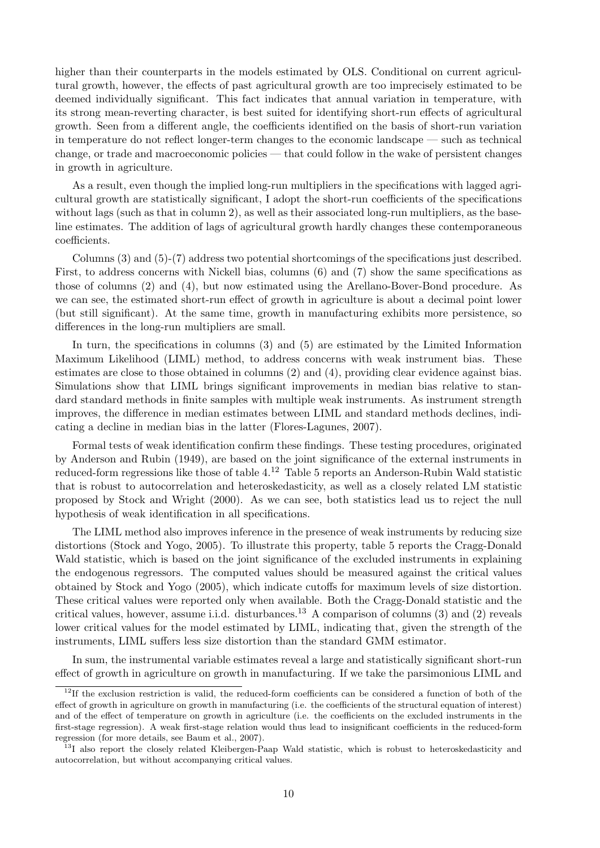higher than their counterparts in the models estimated by OLS. Conditional on current agricultural growth, however, the effects of past agricultural growth are too imprecisely estimated to be deemed individually significant. This fact indicates that annual variation in temperature, with its strong mean-reverting character, is best suited for identifying short-run effects of agricultural growth. Seen from a different angle, the coefficients identified on the basis of short-run variation in temperature do not reflect longer-term changes to the economic landscape — such as technical change, or trade and macroeconomic policies — that could follow in the wake of persistent changes in growth in agriculture.

As a result, even though the implied long-run multipliers in the specifications with lagged agricultural growth are statistically significant, I adopt the short-run coefficients of the specifications without lags (such as that in column 2), as well as their associated long-run multipliers, as the baseline estimates. The addition of lags of agricultural growth hardly changes these contemporaneous coefficients.

Columns (3) and (5)-(7) address two potential shortcomings of the specifications just described. First, to address concerns with Nickell bias, columns (6) and (7) show the same specifications as those of columns (2) and (4), but now estimated using the Arellano-Bover-Bond procedure. As we can see, the estimated short-run effect of growth in agriculture is about a decimal point lower (but still significant). At the same time, growth in manufacturing exhibits more persistence, so differences in the long-run multipliers are small.

In turn, the specifications in columns (3) and (5) are estimated by the Limited Information Maximum Likelihood (LIML) method, to address concerns with weak instrument bias. These estimates are close to those obtained in columns (2) and (4), providing clear evidence against bias. Simulations show that LIML brings significant improvements in median bias relative to standard standard methods in finite samples with multiple weak instruments. As instrument strength improves, the difference in median estimates between LIML and standard methods declines, indicating a decline in median bias in the latter (Flores-Lagunes, 2007).

Formal tests of weak identification confirm these findings. These testing procedures, originated by Anderson and Rubin (1949), are based on the joint significance of the external instruments in reduced-form regressions like those of table 4.<sup>12</sup> Table 5 reports an Anderson-Rubin Wald statistic that is robust to autocorrelation and heteroskedasticity, as well as a closely related LM statistic proposed by Stock and Wright (2000). As we can see, both statistics lead us to reject the null hypothesis of weak identification in all specifications.

The LIML method also improves inference in the presence of weak instruments by reducing size distortions (Stock and Yogo, 2005). To illustrate this property, table 5 reports the Cragg-Donald Wald statistic, which is based on the joint significance of the excluded instruments in explaining the endogenous regressors. The computed values should be measured against the critical values obtained by Stock and Yogo (2005), which indicate cutoffs for maximum levels of size distortion. These critical values were reported only when available. Both the Cragg-Donald statistic and the critical values, however, assume i.i.d. disturbances.<sup>13</sup> A comparison of columns (3) and (2) reveals lower critical values for the model estimated by LIML, indicating that, given the strength of the instruments, LIML suffers less size distortion than the standard GMM estimator.

In sum, the instrumental variable estimates reveal a large and statistically significant short-run effect of growth in agriculture on growth in manufacturing. If we take the parsimonious LIML and

 $12$ If the exclusion restriction is valid, the reduced-form coefficients can be considered a function of both of the effect of growth in agriculture on growth in manufacturing (i.e. the coefficients of the structural equation of interest) and of the effect of temperature on growth in agriculture (i.e. the coefficients on the excluded instruments in the first-stage regression). A weak first-stage relation would thus lead to insignificant coefficients in the reduced-form regression (for more details, see Baum et al., 2007).

<sup>&</sup>lt;sup>13</sup>I also report the closely related Kleibergen-Paap Wald statistic, which is robust to heteroskedasticity and autocorrelation, but without accompanying critical values.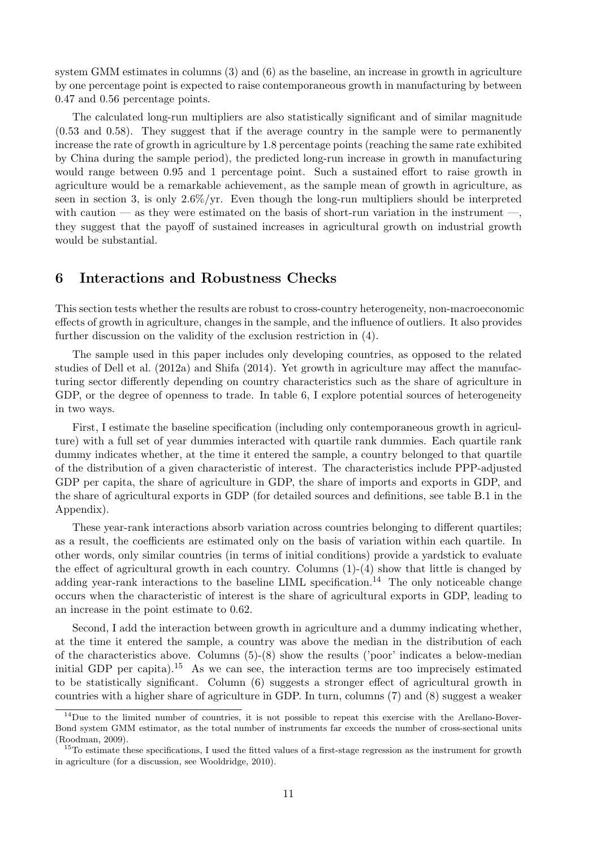system GMM estimates in columns (3) and (6) as the baseline, an increase in growth in agriculture by one percentage point is expected to raise contemporaneous growth in manufacturing by between 0.47 and 0.56 percentage points.

The calculated long-run multipliers are also statistically significant and of similar magnitude (0.53 and 0.58). They suggest that if the average country in the sample were to permanently increase the rate of growth in agriculture by 1.8 percentage points (reaching the same rate exhibited by China during the sample period), the predicted long-run increase in growth in manufacturing would range between 0.95 and 1 percentage point. Such a sustained effort to raise growth in agriculture would be a remarkable achievement, as the sample mean of growth in agriculture, as seen in section 3, is only 2.6%/yr. Even though the long-run multipliers should be interpreted with caution — as they were estimated on the basis of short-run variation in the instrument —, they suggest that the payoff of sustained increases in agricultural growth on industrial growth would be substantial.

## 6 Interactions and Robustness Checks

This section tests whether the results are robust to cross-country heterogeneity, non-macroeconomic effects of growth in agriculture, changes in the sample, and the influence of outliers. It also provides further discussion on the validity of the exclusion restriction in (4).

The sample used in this paper includes only developing countries, as opposed to the related studies of Dell et al. (2012a) and Shifa (2014). Yet growth in agriculture may affect the manufacturing sector differently depending on country characteristics such as the share of agriculture in GDP, or the degree of openness to trade. In table 6, I explore potential sources of heterogeneity in two ways.

First, I estimate the baseline specification (including only contemporaneous growth in agriculture) with a full set of year dummies interacted with quartile rank dummies. Each quartile rank dummy indicates whether, at the time it entered the sample, a country belonged to that quartile of the distribution of a given characteristic of interest. The characteristics include PPP-adjusted GDP per capita, the share of agriculture in GDP, the share of imports and exports in GDP, and the share of agricultural exports in GDP (for detailed sources and definitions, see table B.1 in the Appendix).

These year-rank interactions absorb variation across countries belonging to different quartiles; as a result, the coefficients are estimated only on the basis of variation within each quartile. In other words, only similar countries (in terms of initial conditions) provide a yardstick to evaluate the effect of agricultural growth in each country. Columns (1)-(4) show that little is changed by adding year-rank interactions to the baseline LIML specification.<sup>14</sup> The only noticeable change occurs when the characteristic of interest is the share of agricultural exports in GDP, leading to an increase in the point estimate to 0.62.

Second, I add the interaction between growth in agriculture and a dummy indicating whether, at the time it entered the sample, a country was above the median in the distribution of each of the characteristics above. Columns (5)-(8) show the results ('poor' indicates a below-median initial GDP per capita).<sup>15</sup> As we can see, the interaction terms are too imprecisely estimated to be statistically significant. Column (6) suggests a stronger effect of agricultural growth in countries with a higher share of agriculture in GDP. In turn, columns (7) and (8) suggest a weaker

<sup>&</sup>lt;sup>14</sup>Due to the limited number of countries, it is not possible to repeat this exercise with the Arellano-Bover-Bond system GMM estimator, as the total number of instruments far exceeds the number of cross-sectional units (Roodman, 2009).

 $15$ To estimate these specifications, I used the fitted values of a first-stage regression as the instrument for growth in agriculture (for a discussion, see Wooldridge, 2010).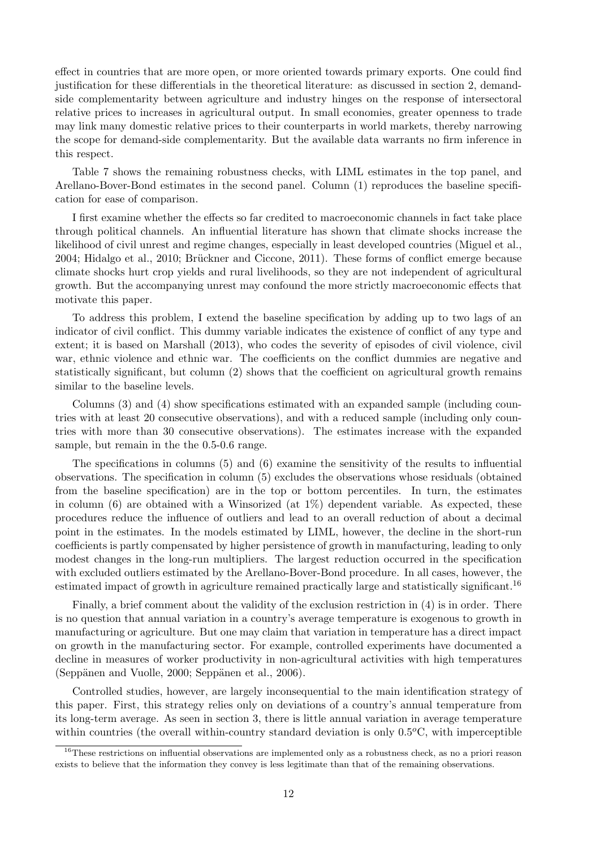effect in countries that are more open, or more oriented towards primary exports. One could find justification for these differentials in the theoretical literature: as discussed in section 2, demandside complementarity between agriculture and industry hinges on the response of intersectoral relative prices to increases in agricultural output. In small economies, greater openness to trade may link many domestic relative prices to their counterparts in world markets, thereby narrowing the scope for demand-side complementarity. But the available data warrants no firm inference in this respect.

Table 7 shows the remaining robustness checks, with LIML estimates in the top panel, and Arellano-Bover-Bond estimates in the second panel. Column (1) reproduces the baseline specification for ease of comparison.

I first examine whether the effects so far credited to macroeconomic channels in fact take place through political channels. An influential literature has shown that climate shocks increase the likelihood of civil unrest and regime changes, especially in least developed countries (Miguel et al., 2004; Hidalgo et al., 2010; Brückner and Ciccone, 2011). These forms of conflict emerge because climate shocks hurt crop yields and rural livelihoods, so they are not independent of agricultural growth. But the accompanying unrest may confound the more strictly macroeconomic effects that motivate this paper.

To address this problem, I extend the baseline specification by adding up to two lags of an indicator of civil conflict. This dummy variable indicates the existence of conflict of any type and extent; it is based on Marshall (2013), who codes the severity of episodes of civil violence, civil war, ethnic violence and ethnic war. The coefficients on the conflict dummies are negative and statistically significant, but column (2) shows that the coefficient on agricultural growth remains similar to the baseline levels.

Columns (3) and (4) show specifications estimated with an expanded sample (including countries with at least 20 consecutive observations), and with a reduced sample (including only countries with more than 30 consecutive observations). The estimates increase with the expanded sample, but remain in the the 0.5-0.6 range.

The specifications in columns (5) and (6) examine the sensitivity of the results to influential observations. The specification in column (5) excludes the observations whose residuals (obtained from the baseline specification) are in the top or bottom percentiles. In turn, the estimates in column  $(6)$  are obtained with a Winsorized (at  $1\%$ ) dependent variable. As expected, these procedures reduce the influence of outliers and lead to an overall reduction of about a decimal point in the estimates. In the models estimated by LIML, however, the decline in the short-run coefficients is partly compensated by higher persistence of growth in manufacturing, leading to only modest changes in the long-run multipliers. The largest reduction occurred in the specification with excluded outliers estimated by the Arellano-Bover-Bond procedure. In all cases, however, the estimated impact of growth in agriculture remained practically large and statistically significant.<sup>16</sup>

Finally, a brief comment about the validity of the exclusion restriction in (4) is in order. There is no question that annual variation in a country's average temperature is exogenous to growth in manufacturing or agriculture. But one may claim that variation in temperature has a direct impact on growth in the manufacturing sector. For example, controlled experiments have documented a decline in measures of worker productivity in non-agricultural activities with high temperatures  $(Seppänen and Vuolle, 2000; Seppänen et al., 2006).$ 

Controlled studies, however, are largely inconsequential to the main identification strategy of this paper. First, this strategy relies only on deviations of a country's annual temperature from its long-term average. As seen in section 3, there is little annual variation in average temperature within countries (the overall within-country standard deviation is only  $0.5^{\circ}$ C, with imperceptible

<sup>&</sup>lt;sup>16</sup>These restrictions on influential observations are implemented only as a robustness check, as no a priori reason exists to believe that the information they convey is less legitimate than that of the remaining observations.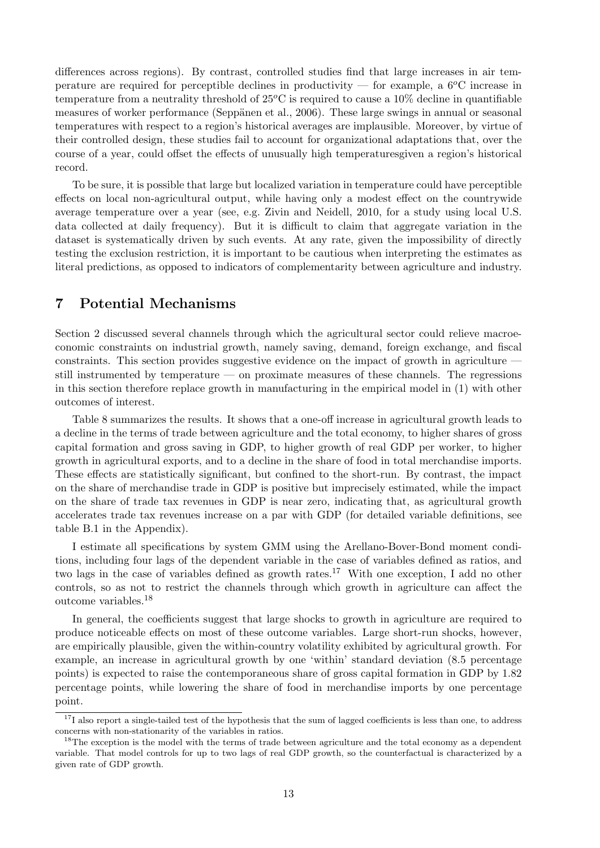differences across regions). By contrast, controlled studies find that large increases in air temperature are required for perceptible declines in productivity — for example, a  $6^{\circ}$ C increase in temperature from a neutrality threshold of  $25^{\circ}$ C is required to cause a  $10\%$  decline in quantifiable measures of worker performance (Seppänen et al., 2006). These large swings in annual or seasonal temperatures with respect to a region's historical averages are implausible. Moreover, by virtue of their controlled design, these studies fail to account for organizational adaptations that, over the course of a year, could offset the effects of unusually high temperaturesgiven a region's historical record.

To be sure, it is possible that large but localized variation in temperature could have perceptible effects on local non-agricultural output, while having only a modest effect on the countrywide average temperature over a year (see, e.g. Zivin and Neidell, 2010, for a study using local U.S. data collected at daily frequency). But it is difficult to claim that aggregate variation in the dataset is systematically driven by such events. At any rate, given the impossibility of directly testing the exclusion restriction, it is important to be cautious when interpreting the estimates as literal predictions, as opposed to indicators of complementarity between agriculture and industry.

## 7 Potential Mechanisms

Section 2 discussed several channels through which the agricultural sector could relieve macroeconomic constraints on industrial growth, namely saving, demand, foreign exchange, and fiscal constraints. This section provides suggestive evidence on the impact of growth in agriculture – still instrumented by temperature — on proximate measures of these channels. The regressions in this section therefore replace growth in manufacturing in the empirical model in (1) with other outcomes of interest.

Table 8 summarizes the results. It shows that a one-off increase in agricultural growth leads to a decline in the terms of trade between agriculture and the total economy, to higher shares of gross capital formation and gross saving in GDP, to higher growth of real GDP per worker, to higher growth in agricultural exports, and to a decline in the share of food in total merchandise imports. These effects are statistically significant, but confined to the short-run. By contrast, the impact on the share of merchandise trade in GDP is positive but imprecisely estimated, while the impact on the share of trade tax revenues in GDP is near zero, indicating that, as agricultural growth accelerates trade tax revenues increase on a par with GDP (for detailed variable definitions, see table B.1 in the Appendix).

I estimate all specifications by system GMM using the Arellano-Bover-Bond moment conditions, including four lags of the dependent variable in the case of variables defined as ratios, and two lags in the case of variables defined as growth rates.<sup>17</sup> With one exception, I add no other controls, so as not to restrict the channels through which growth in agriculture can affect the outcome variables.<sup>18</sup>

In general, the coefficients suggest that large shocks to growth in agriculture are required to produce noticeable effects on most of these outcome variables. Large short-run shocks, however, are empirically plausible, given the within-country volatility exhibited by agricultural growth. For example, an increase in agricultural growth by one 'within' standard deviation (8.5 percentage points) is expected to raise the contemporaneous share of gross capital formation in GDP by 1.82 percentage points, while lowering the share of food in merchandise imports by one percentage point.

 $17$ I also report a single-tailed test of the hypothesis that the sum of lagged coefficients is less than one, to address concerns with non-stationarity of the variables in ratios.

<sup>&</sup>lt;sup>18</sup>The exception is the model with the terms of trade between agriculture and the total economy as a dependent variable. That model controls for up to two lags of real GDP growth, so the counterfactual is characterized by a given rate of GDP growth.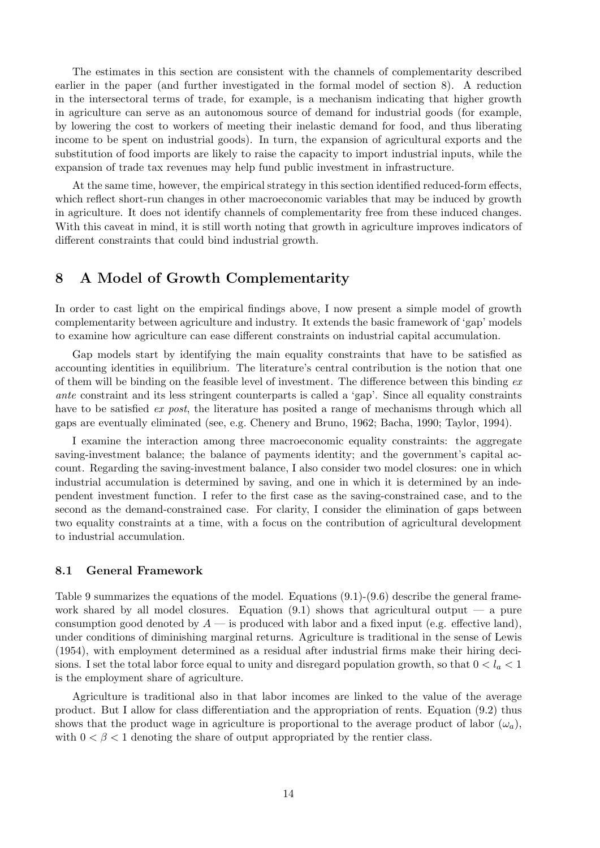The estimates in this section are consistent with the channels of complementarity described earlier in the paper (and further investigated in the formal model of section 8). A reduction in the intersectoral terms of trade, for example, is a mechanism indicating that higher growth in agriculture can serve as an autonomous source of demand for industrial goods (for example, by lowering the cost to workers of meeting their inelastic demand for food, and thus liberating income to be spent on industrial goods). In turn, the expansion of agricultural exports and the substitution of food imports are likely to raise the capacity to import industrial inputs, while the expansion of trade tax revenues may help fund public investment in infrastructure.

At the same time, however, the empirical strategy in this section identified reduced-form effects, which reflect short-run changes in other macroeconomic variables that may be induced by growth in agriculture. It does not identify channels of complementarity free from these induced changes. With this caveat in mind, it is still worth noting that growth in agriculture improves indicators of different constraints that could bind industrial growth.

## 8 A Model of Growth Complementarity

In order to cast light on the empirical findings above, I now present a simple model of growth complementarity between agriculture and industry. It extends the basic framework of 'gap' models to examine how agriculture can ease different constraints on industrial capital accumulation.

Gap models start by identifying the main equality constraints that have to be satisfied as accounting identities in equilibrium. The literature's central contribution is the notion that one of them will be binding on the feasible level of investment. The difference between this binding  $ex$ ante constraint and its less stringent counterparts is called a 'gap'. Since all equality constraints have to be satisfied *ex post*, the literature has posited a range of mechanisms through which all gaps are eventually eliminated (see, e.g. Chenery and Bruno, 1962; Bacha, 1990; Taylor, 1994).

I examine the interaction among three macroeconomic equality constraints: the aggregate saving-investment balance; the balance of payments identity; and the government's capital account. Regarding the saving-investment balance, I also consider two model closures: one in which industrial accumulation is determined by saving, and one in which it is determined by an independent investment function. I refer to the first case as the saving-constrained case, and to the second as the demand-constrained case. For clarity, I consider the elimination of gaps between two equality constraints at a time, with a focus on the contribution of agricultural development to industrial accumulation.

#### 8.1 General Framework

Table 9 summarizes the equations of the model. Equations (9.1)-(9.6) describe the general framework shared by all model closures. Equation  $(9.1)$  shows that agricultural output — a pure consumption good denoted by  $A$  — is produced with labor and a fixed input (e.g. effective land), under conditions of diminishing marginal returns. Agriculture is traditional in the sense of Lewis (1954), with employment determined as a residual after industrial firms make their hiring decisions. I set the total labor force equal to unity and disregard population growth, so that  $0 < l_a < 1$ is the employment share of agriculture.

Agriculture is traditional also in that labor incomes are linked to the value of the average product. But I allow for class differentiation and the appropriation of rents. Equation (9.2) thus shows that the product wage in agriculture is proportional to the average product of labor  $(\omega_a)$ , with  $0 < \beta < 1$  denoting the share of output appropriated by the rentier class.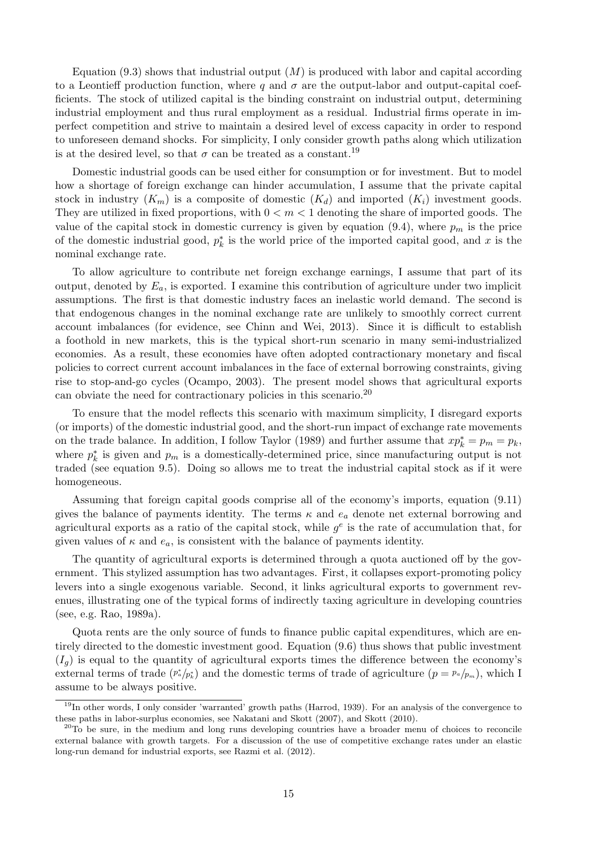Equation  $(9.3)$  shows that industrial output  $(M)$  is produced with labor and capital according to a Leontieff production function, where q and  $\sigma$  are the output-labor and output-capital coefficients. The stock of utilized capital is the binding constraint on industrial output, determining industrial employment and thus rural employment as a residual. Industrial firms operate in imperfect competition and strive to maintain a desired level of excess capacity in order to respond to unforeseen demand shocks. For simplicity, I only consider growth paths along which utilization is at the desired level, so that  $\sigma$  can be treated as a constant.<sup>19</sup>

Domestic industrial goods can be used either for consumption or for investment. But to model how a shortage of foreign exchange can hinder accumulation, I assume that the private capital stock in industry  $(K_m)$  is a composite of domestic  $(K_d)$  and imported  $(K_i)$  investment goods. They are utilized in fixed proportions, with  $0 < m < 1$  denoting the share of imported goods. The value of the capital stock in domestic currency is given by equation (9.4), where  $p_m$  is the price of the domestic industrial good,  $p_k^*$  is the world price of the imported capital good, and x is the nominal exchange rate.

To allow agriculture to contribute net foreign exchange earnings, I assume that part of its output, denoted by  $E_a$ , is exported. I examine this contribution of agriculture under two implicit assumptions. The first is that domestic industry faces an inelastic world demand. The second is that endogenous changes in the nominal exchange rate are unlikely to smoothly correct current account imbalances (for evidence, see Chinn and Wei, 2013). Since it is difficult to establish a foothold in new markets, this is the typical short-run scenario in many semi-industrialized economies. As a result, these economies have often adopted contractionary monetary and fiscal policies to correct current account imbalances in the face of external borrowing constraints, giving rise to stop-and-go cycles (Ocampo, 2003). The present model shows that agricultural exports can obviate the need for contractionary policies in this scenario.<sup>20</sup>

To ensure that the model reflects this scenario with maximum simplicity, I disregard exports (or imports) of the domestic industrial good, and the short-run impact of exchange rate movements on the trade balance. In addition, I follow Taylor (1989) and further assume that  $xp_k^* = p_m = p_k$ , where  $p_k^*$  is given and  $p_m$  is a domestically-determined price, since manufacturing output is not traded (see equation 9.5). Doing so allows me to treat the industrial capital stock as if it were homogeneous.

Assuming that foreign capital goods comprise all of the economy's imports, equation (9.11) gives the balance of payments identity. The terms  $\kappa$  and  $e_a$  denote net external borrowing and agricultural exports as a ratio of the capital stock, while  $g^e$  is the rate of accumulation that, for given values of  $\kappa$  and  $e_a$ , is consistent with the balance of payments identity.

The quantity of agricultural exports is determined through a quota auctioned off by the government. This stylized assumption has two advantages. First, it collapses export-promoting policy levers into a single exogenous variable. Second, it links agricultural exports to government revenues, illustrating one of the typical forms of indirectly taxing agriculture in developing countries (see, e.g. Rao, 1989a).

Quota rents are the only source of funds to finance public capital expenditures, which are entirely directed to the domestic investment good. Equation (9.6) thus shows that public investment  $(I_q)$  is equal to the quantity of agricultural exports times the difference between the economy's external terms of trade  $(p^*_{\alpha}/p^*_{\alpha})$  and the domestic terms of trade of agriculture  $(p = p_{\alpha}/p_m)$ , which I assume to be always positive.

<sup>&</sup>lt;sup>19</sup>In other words, I only consider 'warranted' growth paths (Harrod, 1939). For an analysis of the convergence to these paths in labor-surplus economies, see Nakatani and Skott (2007), and Skott (2010).

<sup>&</sup>lt;sup>20</sup>To be sure, in the medium and long runs developing countries have a broader menu of choices to reconcile external balance with growth targets. For a discussion of the use of competitive exchange rates under an elastic long-run demand for industrial exports, see Razmi et al. (2012).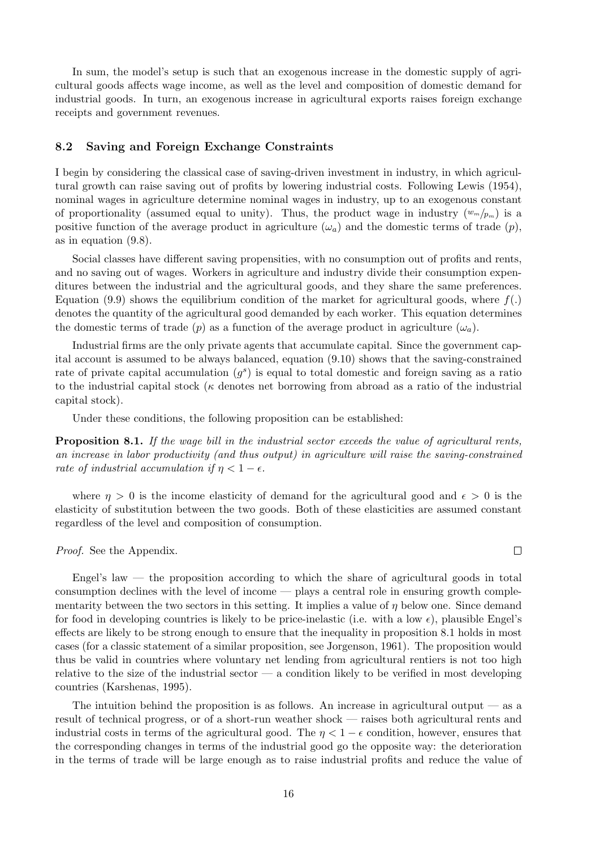In sum, the model's setup is such that an exogenous increase in the domestic supply of agricultural goods affects wage income, as well as the level and composition of domestic demand for industrial goods. In turn, an exogenous increase in agricultural exports raises foreign exchange receipts and government revenues.

#### 8.2 Saving and Foreign Exchange Constraints

I begin by considering the classical case of saving-driven investment in industry, in which agricultural growth can raise saving out of profits by lowering industrial costs. Following Lewis (1954), nominal wages in agriculture determine nominal wages in industry, up to an exogenous constant of proportionality (assumed equal to unity). Thus, the product wage in industry  $(w_m/p_m)$  is a positive function of the average product in agriculture  $(\omega_a)$  and the domestic terms of trade  $(p)$ , as in equation (9.8).

Social classes have different saving propensities, with no consumption out of profits and rents, and no saving out of wages. Workers in agriculture and industry divide their consumption expenditures between the industrial and the agricultural goods, and they share the same preferences. Equation (9.9) shows the equilibrium condition of the market for agricultural goods, where  $f(.)$ denotes the quantity of the agricultural good demanded by each worker. This equation determines the domestic terms of trade (p) as a function of the average product in agriculture  $(\omega_a)$ .

Industrial firms are the only private agents that accumulate capital. Since the government capital account is assumed to be always balanced, equation (9.10) shows that the saving-constrained rate of private capital accumulation  $(g^s)$  is equal to total domestic and foreign saving as a ratio to the industrial capital stock ( $\kappa$  denotes net borrowing from abroad as a ratio of the industrial capital stock).

Under these conditions, the following proposition can be established:

Proposition 8.1. If the wage bill in the industrial sector exceeds the value of agricultural rents, an increase in labor productivity (and thus output) in agriculture will raise the saving-constrained rate of industrial accumulation if  $\eta < 1 - \epsilon$ .

where  $\eta > 0$  is the income elasticity of demand for the agricultural good and  $\epsilon > 0$  is the elasticity of substitution between the two goods. Both of these elasticities are assumed constant regardless of the level and composition of consumption.

Proof. See the Appendix.

Engel's law  $-$  the proposition according to which the share of agricultural goods in total consumption declines with the level of income — plays a central role in ensuring growth complementarity between the two sectors in this setting. It implies a value of  $\eta$  below one. Since demand for food in developing countries is likely to be price-inelastic (i.e. with a low  $\epsilon$ ), plausible Engel's effects are likely to be strong enough to ensure that the inequality in proposition 8.1 holds in most cases (for a classic statement of a similar proposition, see Jorgenson, 1961). The proposition would thus be valid in countries where voluntary net lending from agricultural rentiers is not too high relative to the size of the industrial sector — a condition likely to be verified in most developing countries (Karshenas, 1995).

The intuition behind the proposition is as follows. An increase in agricultural output  $\frac{1}{1}$  as a result of technical progress, or of a short-run weather shock — raises both agricultural rents and industrial costs in terms of the agricultural good. The  $\eta < 1 - \epsilon$  condition, however, ensures that the corresponding changes in terms of the industrial good go the opposite way: the deterioration in the terms of trade will be large enough as to raise industrial profits and reduce the value of

 $\Box$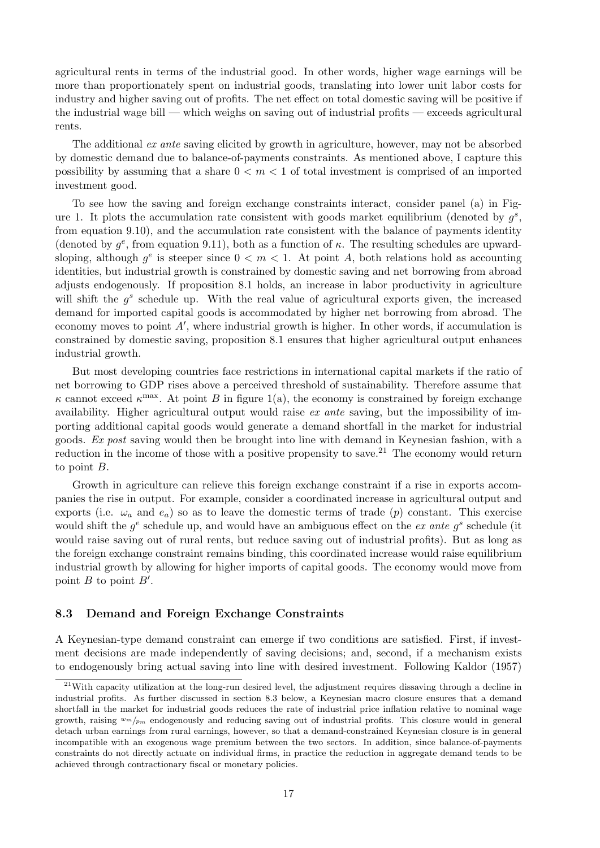agricultural rents in terms of the industrial good. In other words, higher wage earnings will be more than proportionately spent on industrial goods, translating into lower unit labor costs for industry and higher saving out of profits. The net effect on total domestic saving will be positive if the industrial wage bill — which weighs on saving out of industrial profits — exceeds agricultural rents.

The additional ex ante saving elicited by growth in agriculture, however, may not be absorbed by domestic demand due to balance-of-payments constraints. As mentioned above, I capture this possibility by assuming that a share  $0 \le m \le 1$  of total investment is comprised of an imported investment good.

To see how the saving and foreign exchange constraints interact, consider panel (a) in Figure 1. It plots the accumulation rate consistent with goods market equilibrium (denoted by  $g^s$ , from equation 9.10), and the accumulation rate consistent with the balance of payments identity (denoted by  $g^e$ , from equation 9.11), both as a function of  $\kappa$ . The resulting schedules are upwardsloping, although  $g^e$  is steeper since  $0 < m < 1$ . At point A, both relations hold as accounting identities, but industrial growth is constrained by domestic saving and net borrowing from abroad adjusts endogenously. If proposition 8.1 holds, an increase in labor productivity in agriculture will shift the  $g^s$  schedule up. With the real value of agricultural exports given, the increased demand for imported capital goods is accommodated by higher net borrowing from abroad. The economy moves to point  $A'$ , where industrial growth is higher. In other words, if accumulation is constrained by domestic saving, proposition 8.1 ensures that higher agricultural output enhances industrial growth.

But most developing countries face restrictions in international capital markets if the ratio of net borrowing to GDP rises above a perceived threshold of sustainability. Therefore assume that  $κ$  cannot exceed  $κ<sup>max</sup>$ . At point B in figure 1(a), the economy is constrained by foreign exchange availability. Higher agricultural output would raise ex ante saving, but the impossibility of importing additional capital goods would generate a demand shortfall in the market for industrial goods. Ex post saving would then be brought into line with demand in Keynesian fashion, with a reduction in the income of those with a positive propensity to save.<sup>21</sup> The economy would return to point B.

Growth in agriculture can relieve this foreign exchange constraint if a rise in exports accompanies the rise in output. For example, consider a coordinated increase in agricultural output and exports (i.e.  $\omega_a$  and  $e_a$ ) so as to leave the domestic terms of trade (p) constant. This exercise would shift the  $g^e$  schedule up, and would have an ambiguous effect on the ex ante  $g^s$  schedule (it would raise saving out of rural rents, but reduce saving out of industrial profits). But as long as the foreign exchange constraint remains binding, this coordinated increase would raise equilibrium industrial growth by allowing for higher imports of capital goods. The economy would move from point  $B$  to point  $B'$ .

#### 8.3 Demand and Foreign Exchange Constraints

A Keynesian-type demand constraint can emerge if two conditions are satisfied. First, if investment decisions are made independently of saving decisions; and, second, if a mechanism exists to endogenously bring actual saving into line with desired investment. Following Kaldor (1957)

<sup>&</sup>lt;sup>21</sup>With capacity utilization at the long-run desired level, the adjustment requires dissaving through a decline in industrial profits. As further discussed in section 8.3 below, a Keynesian macro closure ensures that a demand shortfall in the market for industrial goods reduces the rate of industrial price inflation relative to nominal wage growth, raising  $w_m/p_m$  endogenously and reducing saving out of industrial profits. This closure would in general detach urban earnings from rural earnings, however, so that a demand-constrained Keynesian closure is in general incompatible with an exogenous wage premium between the two sectors. In addition, since balance-of-payments constraints do not directly actuate on individual firms, in practice the reduction in aggregate demand tends to be achieved through contractionary fiscal or monetary policies.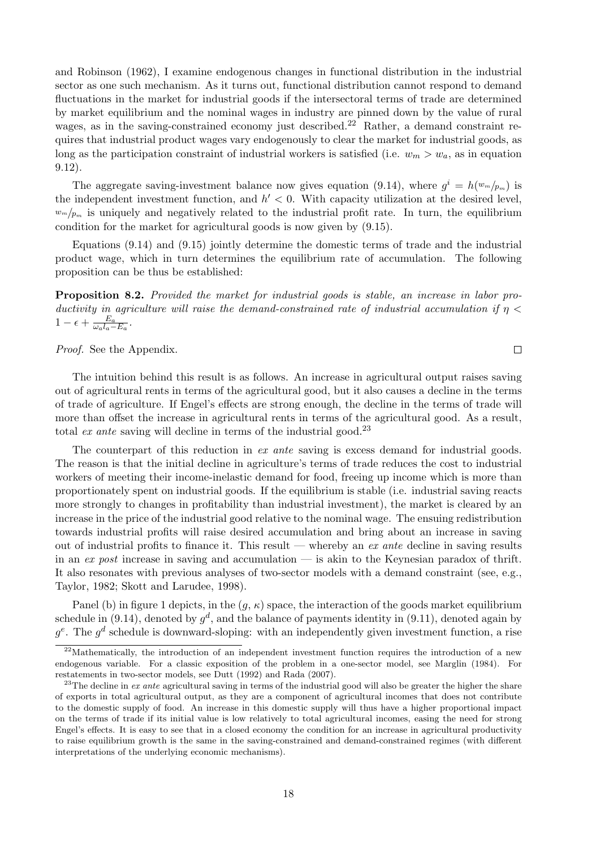and Robinson (1962), I examine endogenous changes in functional distribution in the industrial sector as one such mechanism. As it turns out, functional distribution cannot respond to demand fluctuations in the market for industrial goods if the intersectoral terms of trade are determined by market equilibrium and the nominal wages in industry are pinned down by the value of rural wages, as in the saving-constrained economy just described.<sup>22</sup> Rather, a demand constraint requires that industrial product wages vary endogenously to clear the market for industrial goods, as long as the participation constraint of industrial workers is satisfied (i.e.  $w_m > w_a$ , as in equation 9.12).

The aggregate saving-investment balance now gives equation (9.14), where  $g^i = h(w_m/p_m)$  is the independent investment function, and  $h' < 0$ . With capacity utilization at the desired level,  $w_m/p_m$  is uniquely and negatively related to the industrial profit rate. In turn, the equilibrium condition for the market for agricultural goods is now given by (9.15).

Equations (9.14) and (9.15) jointly determine the domestic terms of trade and the industrial product wage, which in turn determines the equilibrium rate of accumulation. The following proposition can be thus be established:

Proposition 8.2. Provided the market for industrial goods is stable, an increase in labor productivity in agriculture will raise the demand-constrained rate of industrial accumulation if  $\eta$  $1 - \epsilon + \frac{E_a}{\omega l}$  $\frac{E_a}{\omega_a l_a - E_a}$  .

Proof. See the Appendix.

The intuition behind this result is as follows. An increase in agricultural output raises saving out of agricultural rents in terms of the agricultural good, but it also causes a decline in the terms of trade of agriculture. If Engel's effects are strong enough, the decline in the terms of trade will more than offset the increase in agricultural rents in terms of the agricultural good. As a result, total ex ante saving will decline in terms of the industrial good.<sup>23</sup>

The counterpart of this reduction in ex ante saving is excess demand for industrial goods. The reason is that the initial decline in agriculture's terms of trade reduces the cost to industrial workers of meeting their income-inelastic demand for food, freeing up income which is more than proportionately spent on industrial goods. If the equilibrium is stable (i.e. industrial saving reacts more strongly to changes in profitability than industrial investment), the market is cleared by an increase in the price of the industrial good relative to the nominal wage. The ensuing redistribution towards industrial profits will raise desired accumulation and bring about an increase in saving out of industrial profits to finance it. This result — whereby an  $ex$  ante decline in saving results in an ex post increase in saving and accumulation — is akin to the Keynesian paradox of thrift. It also resonates with previous analyses of two-sector models with a demand constraint (see, e.g., Taylor, 1982; Skott and Larudee, 1998).

Panel (b) in figure 1 depicts, in the  $(g, \kappa)$  space, the interaction of the goods market equilibrium schedule in (9.14), denoted by  $g^d$ , and the balance of payments identity in (9.11), denoted again by  $g^e$ . The  $g^d$  schedule is downward-sloping: with an independently given investment function, a rise

 $\Box$ 

<sup>&</sup>lt;sup>22</sup>Mathematically, the introduction of an independent investment function requires the introduction of a new endogenous variable. For a classic exposition of the problem in a one-sector model, see Marglin (1984). For restatements in two-sector models, see Dutt (1992) and Rada (2007).

<sup>&</sup>lt;sup>23</sup>The decline in ex ante agricultural saving in terms of the industrial good will also be greater the higher the share of exports in total agricultural output, as they are a component of agricultural incomes that does not contribute to the domestic supply of food. An increase in this domestic supply will thus have a higher proportional impact on the terms of trade if its initial value is low relatively to total agricultural incomes, easing the need for strong Engel's effects. It is easy to see that in a closed economy the condition for an increase in agricultural productivity to raise equilibrium growth is the same in the saving-constrained and demand-constrained regimes (with different interpretations of the underlying economic mechanisms).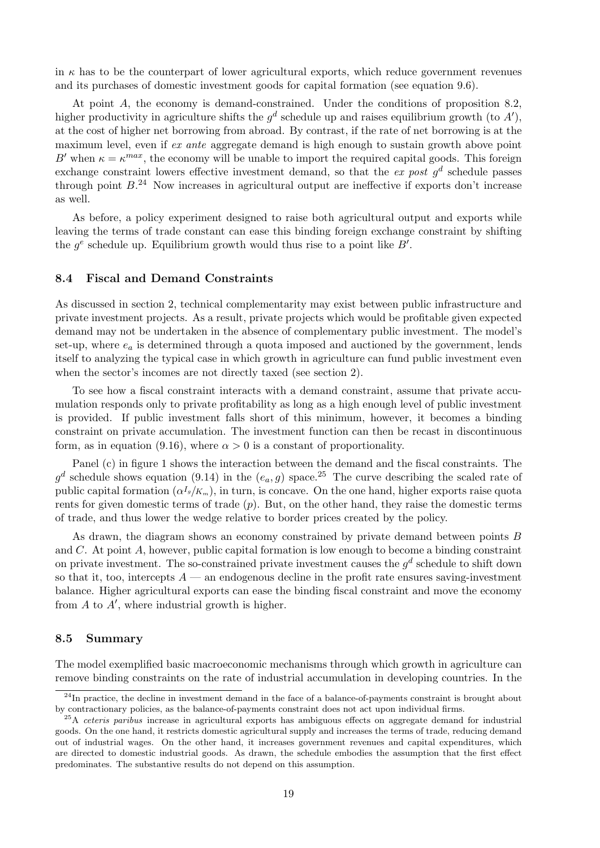in  $\kappa$  has to be the counterpart of lower agricultural exports, which reduce government revenues and its purchases of domestic investment goods for capital formation (see equation 9.6).

At point A, the economy is demand-constrained. Under the conditions of proposition 8.2, higher productivity in agriculture shifts the  $g^d$  schedule up and raises equilibrium growth (to A'), at the cost of higher net borrowing from abroad. By contrast, if the rate of net borrowing is at the maximum level, even if ex ante aggregate demand is high enough to sustain growth above point B' when  $\kappa = \kappa^{max}$ , the economy will be unable to import the required capital goods. This foreign exchange constraint lowers effective investment demand, so that the ex post  $g^d$  schedule passes through point  $B^{24}$  Now increases in agricultural output are ineffective if exports don't increase as well.

As before, a policy experiment designed to raise both agricultural output and exports while leaving the terms of trade constant can ease this binding foreign exchange constraint by shifting the  $g^e$  schedule up. Equilibrium growth would thus rise to a point like  $B'$ .

#### 8.4 Fiscal and Demand Constraints

As discussed in section 2, technical complementarity may exist between public infrastructure and private investment projects. As a result, private projects which would be profitable given expected demand may not be undertaken in the absence of complementary public investment. The model's set-up, where  $e_a$  is determined through a quota imposed and auctioned by the government, lends itself to analyzing the typical case in which growth in agriculture can fund public investment even when the sector's incomes are not directly taxed (see section 2).

To see how a fiscal constraint interacts with a demand constraint, assume that private accumulation responds only to private profitability as long as a high enough level of public investment is provided. If public investment falls short of this minimum, however, it becomes a binding constraint on private accumulation. The investment function can then be recast in discontinuous form, as in equation (9.16), where  $\alpha > 0$  is a constant of proportionality.

Panel (c) in figure 1 shows the interaction between the demand and the fiscal constraints. The  $g^d$  schedule shows equation (9.14) in the  $(e_a, g)$  space.<sup>25</sup> The curve describing the scaled rate of public capital formation  $(\alpha^{I_g}/K_m)$ , in turn, is concave. On the one hand, higher exports raise quota rents for given domestic terms of trade  $(p)$ . But, on the other hand, they raise the domestic terms of trade, and thus lower the wedge relative to border prices created by the policy.

As drawn, the diagram shows an economy constrained by private demand between points B and  $C$ . At point  $A$ , however, public capital formation is low enough to become a binding constraint on private investment. The so-constrained private investment causes the  $g^d$  schedule to shift down so that it, too, intercepts  $A$  — an endogenous decline in the profit rate ensures saving-investment balance. Higher agricultural exports can ease the binding fiscal constraint and move the economy from  $A$  to  $A'$ , where industrial growth is higher.

#### 8.5 Summary

The model exemplified basic macroeconomic mechanisms through which growth in agriculture can remove binding constraints on the rate of industrial accumulation in developing countries. In the

 $^{24}$ In practice, the decline in investment demand in the face of a balance-of-payments constraint is brought about by contractionary policies, as the balance-of-payments constraint does not act upon individual firms.

<sup>&</sup>lt;sup>25</sup>A ceteris paribus increase in agricultural exports has ambiguous effects on aggregate demand for industrial goods. On the one hand, it restricts domestic agricultural supply and increases the terms of trade, reducing demand out of industrial wages. On the other hand, it increases government revenues and capital expenditures, which are directed to domestic industrial goods. As drawn, the schedule embodies the assumption that the first effect predominates. The substantive results do not depend on this assumption.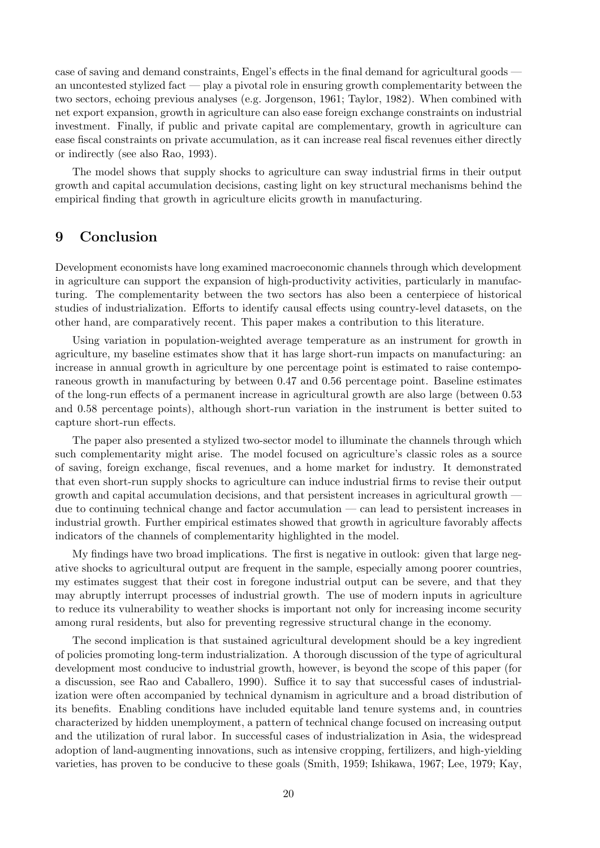case of saving and demand constraints, Engel's effects in the final demand for agricultural goods an uncontested stylized fact — play a pivotal role in ensuring growth complementarity between the two sectors, echoing previous analyses (e.g. Jorgenson, 1961; Taylor, 1982). When combined with net export expansion, growth in agriculture can also ease foreign exchange constraints on industrial investment. Finally, if public and private capital are complementary, growth in agriculture can ease fiscal constraints on private accumulation, as it can increase real fiscal revenues either directly or indirectly (see also Rao, 1993).

The model shows that supply shocks to agriculture can sway industrial firms in their output growth and capital accumulation decisions, casting light on key structural mechanisms behind the empirical finding that growth in agriculture elicits growth in manufacturing.

## 9 Conclusion

Development economists have long examined macroeconomic channels through which development in agriculture can support the expansion of high-productivity activities, particularly in manufacturing. The complementarity between the two sectors has also been a centerpiece of historical studies of industrialization. Efforts to identify causal effects using country-level datasets, on the other hand, are comparatively recent. This paper makes a contribution to this literature.

Using variation in population-weighted average temperature as an instrument for growth in agriculture, my baseline estimates show that it has large short-run impacts on manufacturing: an increase in annual growth in agriculture by one percentage point is estimated to raise contemporaneous growth in manufacturing by between 0.47 and 0.56 percentage point. Baseline estimates of the long-run effects of a permanent increase in agricultural growth are also large (between 0.53 and 0.58 percentage points), although short-run variation in the instrument is better suited to capture short-run effects.

The paper also presented a stylized two-sector model to illuminate the channels through which such complementarity might arise. The model focused on agriculture's classic roles as a source of saving, foreign exchange, fiscal revenues, and a home market for industry. It demonstrated that even short-run supply shocks to agriculture can induce industrial firms to revise their output growth and capital accumulation decisions, and that persistent increases in agricultural growth due to continuing technical change and factor accumulation — can lead to persistent increases in industrial growth. Further empirical estimates showed that growth in agriculture favorably affects indicators of the channels of complementarity highlighted in the model.

My findings have two broad implications. The first is negative in outlook: given that large negative shocks to agricultural output are frequent in the sample, especially among poorer countries, my estimates suggest that their cost in foregone industrial output can be severe, and that they may abruptly interrupt processes of industrial growth. The use of modern inputs in agriculture to reduce its vulnerability to weather shocks is important not only for increasing income security among rural residents, but also for preventing regressive structural change in the economy.

The second implication is that sustained agricultural development should be a key ingredient of policies promoting long-term industrialization. A thorough discussion of the type of agricultural development most conducive to industrial growth, however, is beyond the scope of this paper (for a discussion, see Rao and Caballero, 1990). Suffice it to say that successful cases of industrialization were often accompanied by technical dynamism in agriculture and a broad distribution of its benefits. Enabling conditions have included equitable land tenure systems and, in countries characterized by hidden unemployment, a pattern of technical change focused on increasing output and the utilization of rural labor. In successful cases of industrialization in Asia, the widespread adoption of land-augmenting innovations, such as intensive cropping, fertilizers, and high-yielding varieties, has proven to be conducive to these goals (Smith, 1959; Ishikawa, 1967; Lee, 1979; Kay,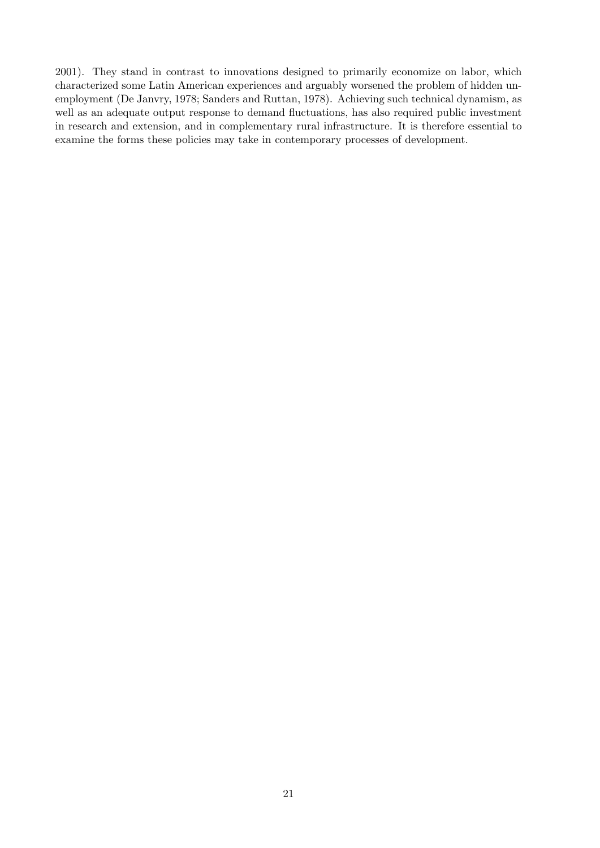2001). They stand in contrast to innovations designed to primarily economize on labor, which characterized some Latin American experiences and arguably worsened the problem of hidden unemployment (De Janvry, 1978; Sanders and Ruttan, 1978). Achieving such technical dynamism, as well as an adequate output response to demand fluctuations, has also required public investment in research and extension, and in complementary rural infrastructure. It is therefore essential to examine the forms these policies may take in contemporary processes of development.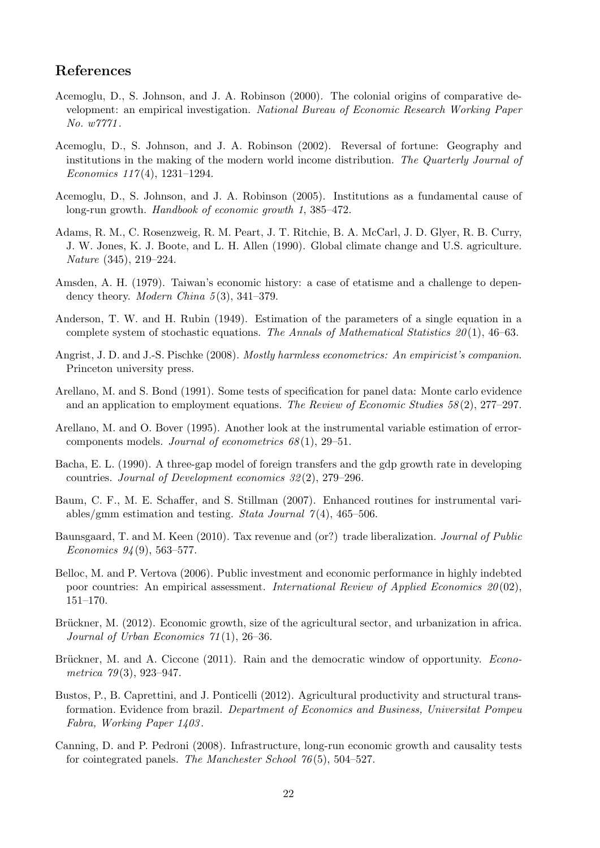## References

- Acemoglu, D., S. Johnson, and J. A. Robinson (2000). The colonial origins of comparative development: an empirical investigation. National Bureau of Economic Research Working Paper No. w7771 .
- Acemoglu, D., S. Johnson, and J. A. Robinson (2002). Reversal of fortune: Geography and institutions in the making of the modern world income distribution. The Quarterly Journal of Economics  $117(4)$ , 1231-1294.
- Acemoglu, D., S. Johnson, and J. A. Robinson (2005). Institutions as a fundamental cause of long-run growth. Handbook of economic growth 1, 385–472.
- Adams, R. M., C. Rosenzweig, R. M. Peart, J. T. Ritchie, B. A. McCarl, J. D. Glyer, R. B. Curry, J. W. Jones, K. J. Boote, and L. H. Allen (1990). Global climate change and U.S. agriculture. Nature (345), 219–224.
- Amsden, A. H. (1979). Taiwan's economic history: a case of etatisme and a challenge to dependency theory. *Modern China*  $5(3)$ , 341–379.
- Anderson, T. W. and H. Rubin (1949). Estimation of the parameters of a single equation in a complete system of stochastic equations. The Annals of Mathematical Statistics  $20(1)$ , 46–63.
- Angrist, J. D. and J.-S. Pischke (2008). Mostly harmless econometrics: An empiricist's companion. Princeton university press.
- Arellano, M. and S. Bond (1991). Some tests of specification for panel data: Monte carlo evidence and an application to employment equations. The Review of Economic Studies 58 (2), 277–297.
- Arellano, M. and O. Bover (1995). Another look at the instrumental variable estimation of errorcomponents models. Journal of econometrics  $68(1)$ , 29–51.
- Bacha, E. L. (1990). A three-gap model of foreign transfers and the gdp growth rate in developing countries. Journal of Development economics 32 (2), 279–296.
- Baum, C. F., M. E. Schaffer, and S. Stillman (2007). Enhanced routines for instrumental variables/gmm estimation and testing. Stata Journal  $7(4)$ , 465–506.
- Baunsgaard, T. and M. Keen (2010). Tax revenue and (or?) trade liberalization. Journal of Public Economics  $94(9)$ , 563-577.
- Belloc, M. and P. Vertova (2006). Public investment and economic performance in highly indebted poor countries: An empirical assessment. International Review of Applied Economics  $20(02)$ , 151–170.
- Brückner, M. (2012). Economic growth, size of the agricultural sector, and urbanization in africa. Journal of Urban Economics 71 (1), 26–36.
- Brückner, M. and A. Ciccone (2011). Rain and the democratic window of opportunity. *Econo*metrica  $79(3)$ , 923-947.
- Bustos, P., B. Caprettini, and J. Ponticelli (2012). Agricultural productivity and structural transformation. Evidence from brazil. Department of Economics and Business, Universitat Pompeu Fabra, Working Paper 1403 .
- Canning, D. and P. Pedroni (2008). Infrastructure, long-run economic growth and causality tests for cointegrated panels. The Manchester School 76 (5), 504–527.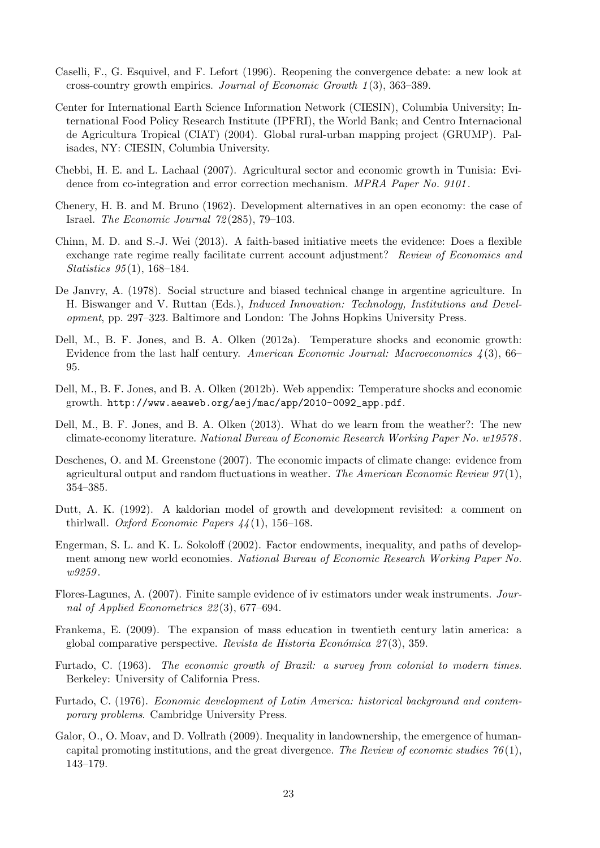- Caselli, F., G. Esquivel, and F. Lefort (1996). Reopening the convergence debate: a new look at cross-country growth empirics. Journal of Economic Growth 1 (3), 363–389.
- Center for International Earth Science Information Network (CIESIN), Columbia University; International Food Policy Research Institute (IPFRI), the World Bank; and Centro Internacional de Agricultura Tropical (CIAT) (2004). Global rural-urban mapping project (GRUMP). Palisades, NY: CIESIN, Columbia University.
- Chebbi, H. E. and L. Lachaal (2007). Agricultural sector and economic growth in Tunisia: Evidence from co-integration and error correction mechanism. MPRA Paper No. 9101.
- Chenery, H. B. and M. Bruno (1962). Development alternatives in an open economy: the case of Israel. The Economic Journal 72 (285), 79–103.
- Chinn, M. D. and S.-J. Wei (2013). A faith-based initiative meets the evidence: Does a flexible exchange rate regime really facilitate current account adjustment? Review of Economics and Statistics 95 (1), 168–184.
- De Janvry, A. (1978). Social structure and biased technical change in argentine agriculture. In H. Biswanger and V. Ruttan (Eds.), Induced Innovation: Technology, Institutions and Development, pp. 297–323. Baltimore and London: The Johns Hopkins University Press.
- Dell, M., B. F. Jones, and B. A. Olken (2012a). Temperature shocks and economic growth: Evidence from the last half century. American Economic Journal: Macroeconomics  $\lambda(3)$ , 66– 95.
- Dell, M., B. F. Jones, and B. A. Olken (2012b). Web appendix: Temperature shocks and economic growth. http://www.aeaweb.org/aej/mac/app/2010-0092\_app.pdf.
- Dell, M., B. F. Jones, and B. A. Olken (2013). What do we learn from the weather?: The new climate-economy literature. National Bureau of Economic Research Working Paper No. w19578 .
- Deschenes, O. and M. Greenstone (2007). The economic impacts of climate change: evidence from agricultural output and random fluctuations in weather. The American Economic Review  $97(1)$ , 354–385.
- Dutt, A. K. (1992). A kaldorian model of growth and development revisited: a comment on thirlwall. Oxford Economic Papers  $44(1)$ , 156-168.
- Engerman, S. L. and K. L. Sokoloff (2002). Factor endowments, inequality, and paths of development among new world economies. National Bureau of Economic Research Working Paper No. w9259.
- Flores-Lagunes, A. (2007). Finite sample evidence of iv estimators under weak instruments. Journal of Applied Econometrics 22 (3), 677–694.
- Frankema, E. (2009). The expansion of mass education in twentieth century latin america: a global comparative perspective. Revista de Historia Económica  $27(3)$ , 359.
- Furtado, C. (1963). The economic growth of Brazil: a survey from colonial to modern times. Berkeley: University of California Press.
- Furtado, C. (1976). Economic development of Latin America: historical background and contemporary problems. Cambridge University Press.
- Galor, O., O. Moav, and D. Vollrath (2009). Inequality in landownership, the emergence of humancapital promoting institutions, and the great divergence. The Review of economic studies  $76(1)$ , 143–179.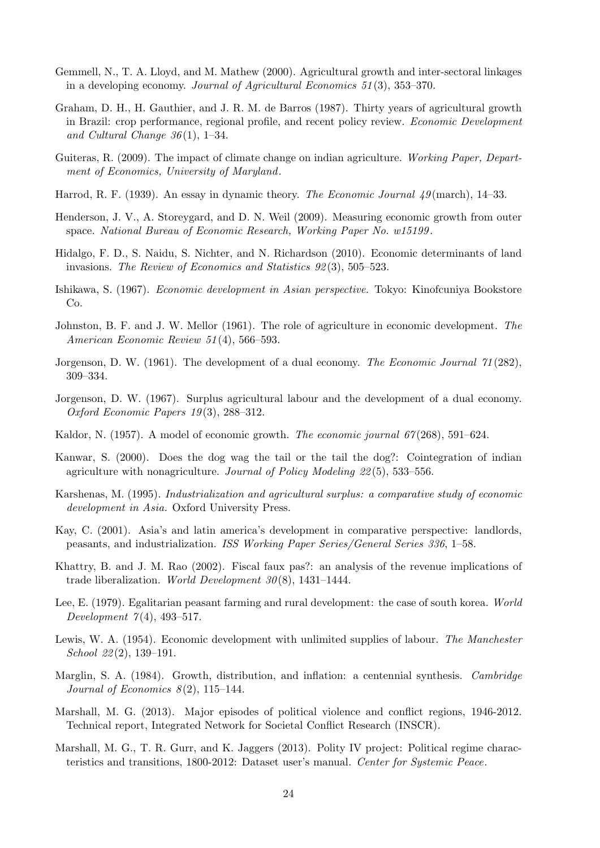- Gemmell, N., T. A. Lloyd, and M. Mathew (2000). Agricultural growth and inter-sectoral linkages in a developing economy. Journal of Agricultural Economics 51 (3), 353–370.
- Graham, D. H., H. Gauthier, and J. R. M. de Barros (1987). Thirty years of agricultural growth in Brazil: crop performance, regional profile, and recent policy review. Economic Development and Cultural Change  $36(1)$ , 1–34.
- Guiteras, R. (2009). The impact of climate change on indian agriculture. Working Paper, Department of Economics, University of Maryland.
- Harrod, R. F. (1939). An essay in dynamic theory. The Economic Journal 49 (march), 14–33.
- Henderson, J. V., A. Storeygard, and D. N. Weil (2009). Measuring economic growth from outer space. National Bureau of Economic Research, Working Paper No. w15199 .
- Hidalgo, F. D., S. Naidu, S. Nichter, and N. Richardson (2010). Economic determinants of land invasions. The Review of Economics and Statistics 92 (3), 505–523.
- Ishikawa, S. (1967). Economic development in Asian perspective. Tokyo: Kinofcuniya Bookstore Co.
- Johnston, B. F. and J. W. Mellor (1961). The role of agriculture in economic development. The American Economic Review 51 (4), 566–593.
- Jorgenson, D. W. (1961). The development of a dual economy. The Economic Journal 71(282), 309–334.
- Jorgenson, D. W. (1967). Surplus agricultural labour and the development of a dual economy. Oxford Economic Papers 19 (3), 288–312.
- Kaldor, N. (1957). A model of economic growth. *The economic journal 67*(268), 591–624.
- Kanwar, S. (2000). Does the dog wag the tail or the tail the dog?: Cointegration of indian agriculture with nonagriculture. Journal of Policy Modeling 22 (5), 533–556.
- Karshenas, M. (1995). Industrialization and agricultural surplus: a comparative study of economic development in Asia. Oxford University Press.
- Kay, C. (2001). Asia's and latin america's development in comparative perspective: landlords, peasants, and industrialization. ISS Working Paper Series/General Series 336, 1–58.
- Khattry, B. and J. M. Rao (2002). Fiscal faux pas?: an analysis of the revenue implications of trade liberalization. World Development  $30(8)$ , 1431–1444.
- Lee, E. (1979). Egalitarian peasant farming and rural development: the case of south korea. World Development  $7(4)$ , 493-517.
- Lewis, W. A. (1954). Economic development with unlimited supplies of labour. The Manchester School 22 (2), 139–191.
- Marglin, S. A. (1984). Growth, distribution, and inflation: a centennial synthesis. Cambridge Journal of Economics  $8(2)$ , 115–144.
- Marshall, M. G. (2013). Major episodes of political violence and conflict regions, 1946-2012. Technical report, Integrated Network for Societal Conflict Research (INSCR).
- Marshall, M. G., T. R. Gurr, and K. Jaggers (2013). Polity IV project: Political regime characteristics and transitions, 1800-2012: Dataset user's manual. Center for Systemic Peace.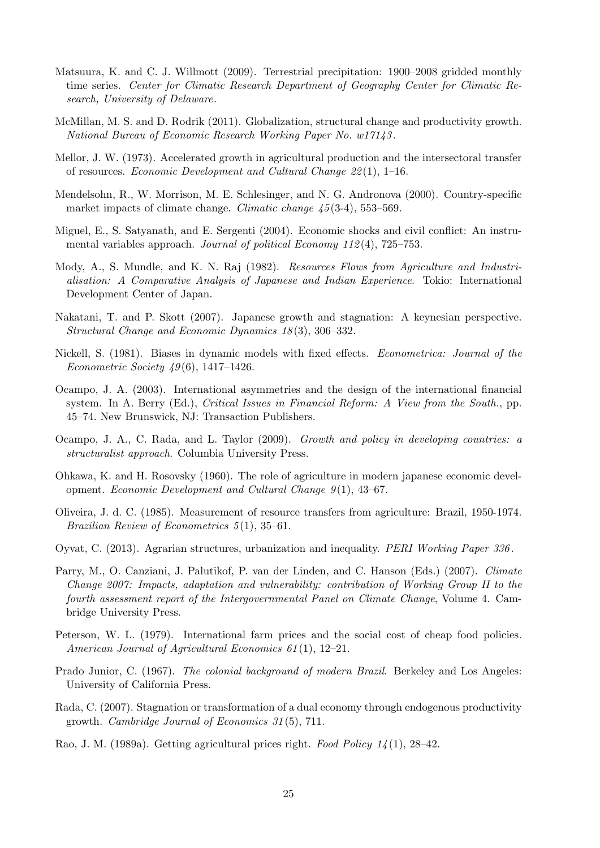- Matsuura, K. and C. J. Willmott (2009). Terrestrial precipitation: 1900–2008 gridded monthly time series. Center for Climatic Research Department of Geography Center for Climatic Research, University of Delaware.
- McMillan, M. S. and D. Rodrik (2011). Globalization, structural change and productivity growth. National Bureau of Economic Research Working Paper No. w17143 .
- Mellor, J. W. (1973). Accelerated growth in agricultural production and the intersectoral transfer of resources. Economic Development and Cultural Change  $22(1)$ , 1–16.
- Mendelsohn, R., W. Morrison, M. E. Schlesinger, and N. G. Andronova (2000). Country-specific market impacts of climate change. *Climatic change 45* (3-4), 553–569.
- Miguel, E., S. Satyanath, and E. Sergenti (2004). Economic shocks and civil conflict: An instrumental variables approach. Journal of political Economy  $112(4)$ , 725–753.
- Mody, A., S. Mundle, and K. N. Raj (1982). *Resources Flows from Agriculture and Industri*alisation: A Comparative Analysis of Japanese and Indian Experience. Tokio: International Development Center of Japan.
- Nakatani, T. and P. Skott (2007). Japanese growth and stagnation: A keynesian perspective. Structural Change and Economic Dynamics 18 (3), 306–332.
- Nickell, S. (1981). Biases in dynamic models with fixed effects. Econometrica: Journal of the *Econometric Society 49*(6), 1417–1426.
- Ocampo, J. A. (2003). International asymmetries and the design of the international financial system. In A. Berry (Ed.), Critical Issues in Financial Reform: A View from the South., pp. 45–74. New Brunswick, NJ: Transaction Publishers.
- Ocampo, J. A., C. Rada, and L. Taylor (2009). Growth and policy in developing countries: a structuralist approach. Columbia University Press.
- Ohkawa, K. and H. Rosovsky (1960). The role of agriculture in modern japanese economic development. Economic Development and Cultural Change 9(1), 43-67.
- Oliveira, J. d. C. (1985). Measurement of resource transfers from agriculture: Brazil, 1950-1974. Brazilian Review of Econometrics 5 (1), 35–61.
- Oyvat, C. (2013). Agrarian structures, urbanization and inequality. PERI Working Paper 336 .
- Parry, M., O. Canziani, J. Palutikof, P. van der Linden, and C. Hanson (Eds.) (2007). Climate Change 2007: Impacts, adaptation and vulnerability: contribution of Working Group II to the fourth assessment report of the Intergovernmental Panel on Climate Change, Volume 4. Cambridge University Press.
- Peterson, W. L. (1979). International farm prices and the social cost of cheap food policies. American Journal of Agricultural Economics 61(1), 12–21.
- Prado Junior, C. (1967). The colonial background of modern Brazil. Berkeley and Los Angeles: University of California Press.
- Rada, C. (2007). Stagnation or transformation of a dual economy through endogenous productivity growth. Cambridge Journal of Economics 31 (5), 711.
- Rao, J. M. (1989a). Getting agricultural prices right. Food Policy 14 (1), 28–42.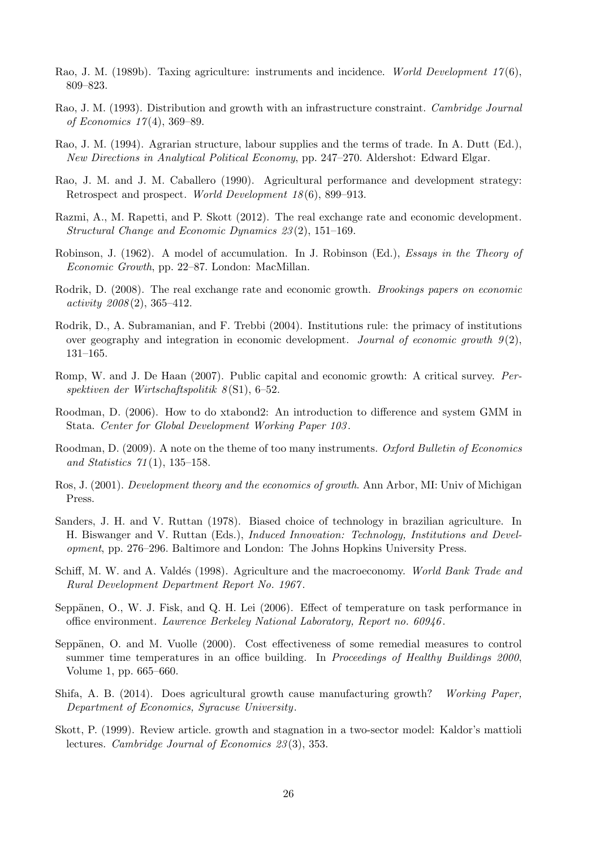- Rao, J. M. (1989b). Taxing agriculture: instruments and incidence. World Development  $17(6)$ , 809–823.
- Rao, J. M. (1993). Distribution and growth with an infrastructure constraint. Cambridge Journal of Economics 17 (4), 369–89.
- Rao, J. M. (1994). Agrarian structure, labour supplies and the terms of trade. In A. Dutt (Ed.), New Directions in Analytical Political Economy, pp. 247–270. Aldershot: Edward Elgar.
- Rao, J. M. and J. M. Caballero (1990). Agricultural performance and development strategy: Retrospect and prospect. World Development 18(6), 899–913.
- Razmi, A., M. Rapetti, and P. Skott (2012). The real exchange rate and economic development. Structural Change and Economic Dynamics 23 (2), 151–169.
- Robinson, J. (1962). A model of accumulation. In J. Robinson (Ed.), Essays in the Theory of Economic Growth, pp. 22–87. London: MacMillan.
- Rodrik, D. (2008). The real exchange rate and economic growth. *Brookings papers on economic*  $activity 2008(2), 365-412.$
- Rodrik, D., A. Subramanian, and F. Trebbi (2004). Institutions rule: the primacy of institutions over geography and integration in economic development. Journal of economic growth  $9(2)$ , 131–165.
- Romp, W. and J. De Haan (2007). Public capital and economic growth: A critical survey. Perspektiven der Wirtschaftspolitik  $8(S1)$ , 6–52.
- Roodman, D. (2006). How to do xtabond2: An introduction to difference and system GMM in Stata. Center for Global Development Working Paper 103 .
- Roodman, D. (2009). A note on the theme of too many instruments. Oxford Bulletin of Economics and Statistics  $71(1)$ , 135–158.
- Ros, J. (2001). Development theory and the economics of growth. Ann Arbor, MI: Univ of Michigan Press.
- Sanders, J. H. and V. Ruttan (1978). Biased choice of technology in brazilian agriculture. In H. Biswanger and V. Ruttan (Eds.), Induced Innovation: Technology, Institutions and Development, pp. 276–296. Baltimore and London: The Johns Hopkins University Press.
- Schiff, M. W. and A. Valdés (1998). Agriculture and the macroeconomy. World Bank Trade and Rural Development Department Report No. 1967 .
- Seppänen, O., W. J. Fisk, and Q. H. Lei (2006). Effect of temperature on task performance in office environment. Lawrence Berkeley National Laboratory, Report no. 60946 .
- Seppänen, O. and M. Vuolle (2000). Cost effectiveness of some remedial measures to control summer time temperatures in an office building. In Proceedings of Healthy Buildings 2000, Volume 1, pp. 665–660.
- Shifa, A. B. (2014). Does agricultural growth cause manufacturing growth? Working Paper, Department of Economics, Syracuse University.
- Skott, P. (1999). Review article. growth and stagnation in a two-sector model: Kaldor's mattioli lectures. Cambridge Journal of Economics 23 (3), 353.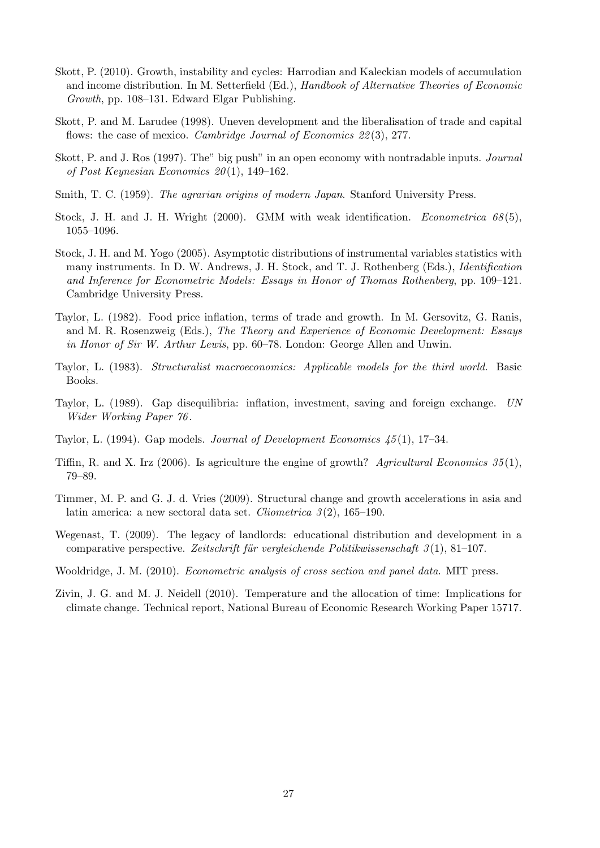- Skott, P. (2010). Growth, instability and cycles: Harrodian and Kaleckian models of accumulation and income distribution. In M. Setterfield (Ed.), Handbook of Alternative Theories of Economic Growth, pp. 108–131. Edward Elgar Publishing.
- Skott, P. and M. Larudee (1998). Uneven development and the liberalisation of trade and capital flows: the case of mexico. *Cambridge Journal of Economics 22(3)*, 277.
- Skott, P. and J. Ros (1997). The" big push" in an open economy with nontradable inputs. Journal of Post Keynesian Economics  $20(1)$ , 149–162.
- Smith, T. C. (1959). The agrarian origins of modern Japan. Stanford University Press.
- Stock, J. H. and J. H. Wright (2000). GMM with weak identification. *Econometrica*  $68(5)$ ,  $1055 - 1096.$
- Stock, J. H. and M. Yogo (2005). Asymptotic distributions of instrumental variables statistics with many instruments. In D. W. Andrews, J. H. Stock, and T. J. Rothenberg (Eds.), Identification and Inference for Econometric Models: Essays in Honor of Thomas Rothenberg, pp. 109–121. Cambridge University Press.
- Taylor, L. (1982). Food price inflation, terms of trade and growth. In M. Gersovitz, G. Ranis, and M. R. Rosenzweig (Eds.), The Theory and Experience of Economic Development: Essays in Honor of Sir W. Arthur Lewis, pp. 60–78. London: George Allen and Unwin.
- Taylor, L. (1983). Structuralist macroeconomics: Applicable models for the third world. Basic Books.
- Taylor, L. (1989). Gap disequilibria: inflation, investment, saving and foreign exchange. UN Wider Working Paper 76 .
- Taylor, L. (1994). Gap models. Journal of Development Economics 45 (1), 17–34.
- Tiffin, R. and X. Irz (2006). Is agriculture the engine of growth? Agricultural Economics  $35(1)$ , 79–89.
- Timmer, M. P. and G. J. d. Vries (2009). Structural change and growth accelerations in asia and latin america: a new sectoral data set. Cliometrica  $\mathcal{S}(2)$ , 165–190.
- Wegenast, T. (2009). The legacy of landlords: educational distribution and development in a comparative perspective. Zeitschrift für vergleichende Politikwissenschaft  $3(1)$ , 81–107.
- Wooldridge, J. M. (2010). *Econometric analysis of cross section and panel data*. MIT press.
- Zivin, J. G. and M. J. Neidell (2010). Temperature and the allocation of time: Implications for climate change. Technical report, National Bureau of Economic Research Working Paper 15717.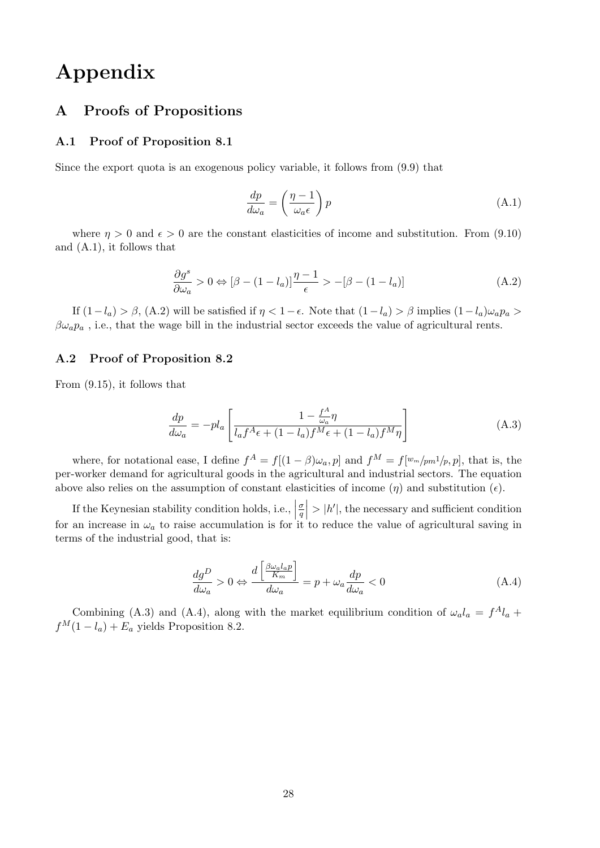## Appendix

### A Proofs of Propositions

#### A.1 Proof of Proposition 8.1

Since the export quota is an exogenous policy variable, it follows from (9.9) that

$$
\frac{dp}{d\omega_a} = \left(\frac{\eta - 1}{\omega_a \epsilon}\right) p \tag{A.1}
$$

where  $\eta > 0$  and  $\epsilon > 0$  are the constant elasticities of income and substitution. From (9.10) and (A.1), it follows that

$$
\frac{\partial g^s}{\partial \omega_a} > 0 \Leftrightarrow [\beta - (1 - l_a)] \frac{\eta - 1}{\epsilon} > -[\beta - (1 - l_a)] \tag{A.2}
$$

If  $(1-l_a) > \beta$ ,  $(A.2)$  will be satisfied if  $\eta < 1-\epsilon$ . Note that  $(1-l_a) > \beta$  implies  $(1-l_a)\omega_a p_a >$  $\beta \omega_a p_a$ , i.e., that the wage bill in the industrial sector exceeds the value of agricultural rents.

#### A.2 Proof of Proposition 8.2

From (9.15), it follows that

$$
\frac{dp}{d\omega_a} = -pl_a \left[ \frac{1 - \frac{f^A}{\omega_a} \eta}{l_a f^A \epsilon + (1 - l_a) f^M \epsilon + (1 - l_a) f^M \eta} \right]
$$
(A.3)

where, for notational ease, I define  $f^A = f[(1-\beta)\omega_a, p]$  and  $f^M = f[w_m/m^1/p, p]$ , that is, the per-worker demand for agricultural goods in the agricultural and industrial sectors. The equation above also relies on the assumption of constant elasticities of income  $(\eta)$  and substitution  $(\epsilon)$ .

If the Keynesian stability condition holds, i.e.,  $\Big|$ σ  $\left| \frac{\sigma}{q} \right| > |h'|$ , the necessary and sufficient condition for an increase in  $\omega_a$  to raise accumulation is for it to reduce the value of agricultural saving in terms of the industrial good, that is:

$$
\frac{dg^D}{d\omega_a} > 0 \Leftrightarrow \frac{d\left[\frac{\beta\omega_a l_a p}{K_m}\right]}{d\omega_a} = p + \omega_a \frac{dp}{d\omega_a} < 0 \tag{A.4}
$$

Combining (A.3) and (A.4), along with the market equilibrium condition of  $\omega_a l_a = f^A l_a +$  $f^M(1 - l_a) + E_a$  yields Proposition 8.2.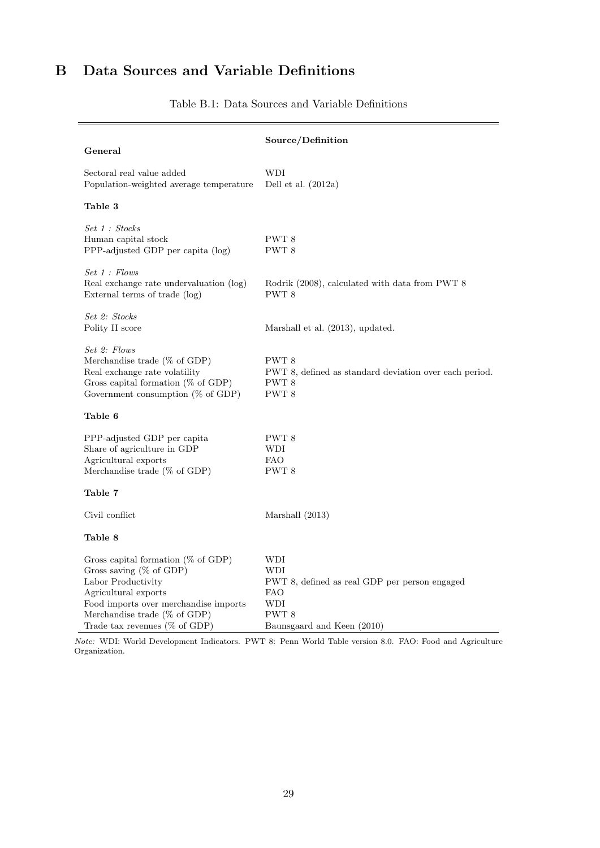## B Data Sources and Variable Definitions

÷,

|                                                                                                                                                                                                                                 | Source/Definition                                                                                                                  |
|---------------------------------------------------------------------------------------------------------------------------------------------------------------------------------------------------------------------------------|------------------------------------------------------------------------------------------------------------------------------------|
| General                                                                                                                                                                                                                         |                                                                                                                                    |
| Sectoral real value added<br>Population-weighted average temperature                                                                                                                                                            | <b>WDI</b><br>Dell et al. $(2012a)$                                                                                                |
| Table 3                                                                                                                                                                                                                         |                                                                                                                                    |
| Set 1 : Stocks<br>Human capital stock<br>PPP-adjusted GDP per capita (log)                                                                                                                                                      | PWT 8<br>PWT 8                                                                                                                     |
| Set 1 : Flows<br>Real exchange rate undervaluation (log)<br>External terms of trade (log)                                                                                                                                       | Rodrik (2008), calculated with data from PWT 8<br>PWT 8                                                                            |
| Set 2: Stocks<br>Polity II score                                                                                                                                                                                                | Marshall et al. (2013), updated.                                                                                                   |
| Set 2: Flows<br>Merchandise trade (% of GDP)<br>Real exchange rate volatility<br>Gross capital formation ( $%$ of GDP)<br>Government consumption ( $%$ of GDP)                                                                  | PWT 8<br>PWT 8, defined as standard deviation over each period.<br>PWT 8<br>PWT 8                                                  |
| Table 6                                                                                                                                                                                                                         |                                                                                                                                    |
| PPP-adjusted GDP per capita<br>Share of agriculture in GDP<br>Agricultural exports<br>Merchandise trade ( $%$ of GDP)                                                                                                           | PWT 8<br>WDI<br><b>FAO</b><br>PWT 8                                                                                                |
| Table 7                                                                                                                                                                                                                         |                                                                                                                                    |
| Civil conflict                                                                                                                                                                                                                  | Marshall (2013)                                                                                                                    |
| Table 8                                                                                                                                                                                                                         |                                                                                                                                    |
| Gross capital formation ( $%$ of GDP)<br>Gross saving (% of GDP)<br>Labor Productivity<br>Agricultural exports<br>Food imports over merchandise imports<br>Merchandise trade ( $%$ of GDP)<br>Trade tax revenues ( $\%$ of GDP) | WDI<br>WDI<br>PWT 8, defined as real GDP per person engaged<br><b>FAO</b><br>WDI<br>PWT <sub>8</sub><br>Baunsgaard and Keen (2010) |

Table B.1: Data Sources and Variable Definitions

Note: WDI: World Development Indicators. PWT 8: Penn World Table version 8.0. FAO: Food and Agriculture Organization.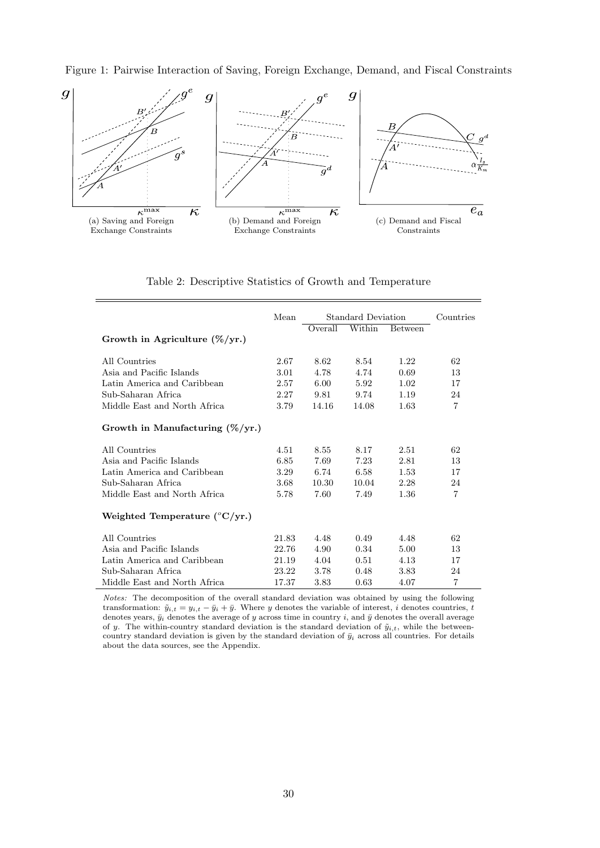Figure 1: Pairwise Interaction of Saving, Foreign Exchange, Demand, and Fiscal Constraints



| Table 2: Descriptive Statistics of Growth and Temperature |  |  |  |
|-----------------------------------------------------------|--|--|--|
|                                                           |  |  |  |

|                                    | Mean  | Standard Deviation | Countries |                |                |
|------------------------------------|-------|--------------------|-----------|----------------|----------------|
|                                    |       | Overall            | Within    | <b>Between</b> |                |
| Growth in Agriculture $(\%/yr.)$   |       |                    |           |                |                |
| All Countries                      | 2.67  | 8.62               | 8.54      | 1.22           | 62             |
| Asia and Pacific Islands           | 3.01  | 4.78               | 4.74      | 0.69           | 13             |
| Latin America and Caribbean        | 2.57  | 6.00               | 5.92      | 1.02           | 17             |
| Sub-Saharan Africa                 | 2.27  | 9.81               | 9.74      | 1.19           | 24             |
| Middle East and North Africa       | 3.79  | 14.16              | 14.08     | 1.63           | $\overline{7}$ |
| Growth in Manufacturing $(\%/yr.)$ |       |                    |           |                |                |
| All Countries                      | 4.51  | 8.55               | 8.17      | 2.51           | 62             |
| Asia and Pacific Islands           | 6.85  | 7.69               | 7.23      | 2.81           | 13             |
| Latin America and Caribbean        | 3.29  | 6.74               | 6.58      | 1.53           | 17             |
| Sub-Saharan Africa                 | 3.68  | 10.30              | 10.04     | 2.28           | 24             |
| Middle East and North Africa       | 5.78  | 7.60               | 7.49      | 1.36           | $\overline{7}$ |
| Weighted Temperature (°C/yr.)      |       |                    |           |                |                |
| All Countries                      | 21.83 | 4.48               | 0.49      | 4.48           | 62             |
| Asia and Pacific Islands           | 22.76 | 4.90               | 0.34      | 5.00           | 13             |
| Latin America and Caribbean        | 21.19 | 4.04               | 0.51      | 4.13           | 17             |
| Sub-Saharan Africa                 | 23.22 | 3.78               | 0.48      | 3.83           | 24             |
| Middle East and North Africa       | 17.37 | 3.83               | 0.63      | 4.07           | 7              |

Notes: The decomposition of the overall standard deviation was obtained by using the following transformation:  $\tilde{y}_{i,t} = y_{i,t} - \bar{y}_i + \bar{y}$ . Where y denotes the variable of interest, i denotes countries, t denotes years,  $\bar{y}_i$  denotes the average of y across time in country i, and  $\bar{y}$  denotes the overall average of y. The within-country standard deviation is the standard deviation of  $\tilde{y}_{i,t}$ , while the betweencountry standard deviation is given by the standard deviation of  $\bar{y}_i$  across all countries. For details about the data sources, see the Appendix.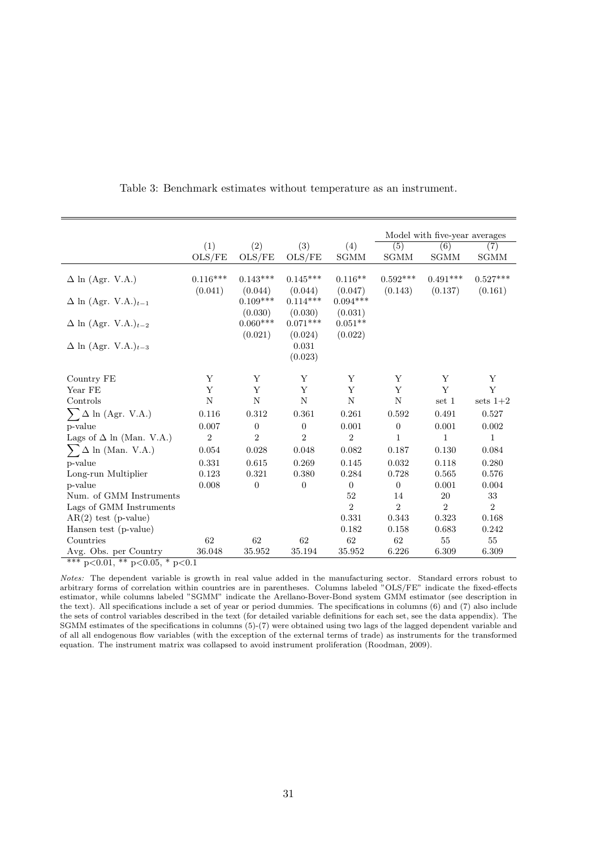|                                        |                                        |                  |                  |                | Model with five-year averages |                |                  |  |  |  |  |
|----------------------------------------|----------------------------------------|------------------|------------------|----------------|-------------------------------|----------------|------------------|--|--|--|--|
|                                        | (1)                                    | (2)              | (3)              | (4)            | $\overline{(5)}$              | (6)            | $\overline{(7)}$ |  |  |  |  |
|                                        | OLS/FE                                 | OLS/FE           | OLS/FE           | SGMM           | SGMM                          | SGMM           | SGMM             |  |  |  |  |
|                                        |                                        |                  |                  |                |                               |                |                  |  |  |  |  |
| $\Delta$ ln (Agr. V.A.)                | $0.116***$                             | $0.143***$       | $0.145***$       | $0.116**$      | $0.592***$                    | $0.491***$     | $0.527***$       |  |  |  |  |
|                                        | (0.041)                                | (0.044)          | (0.044)          | (0.047)        | (0.143)                       | (0.137)        | (0.161)          |  |  |  |  |
| $\Delta$ ln (Agr. V.A.) <sub>t-1</sub> |                                        | $0.109***$       | $0.114***$       | $0.094***$     |                               |                |                  |  |  |  |  |
|                                        |                                        | (0.030)          | (0.030)          | (0.031)        |                               |                |                  |  |  |  |  |
| $\Delta$ ln (Agr. V.A.) <sub>t-2</sub> |                                        | $0.060***$       | $0.071***$       | $0.051**$      |                               |                |                  |  |  |  |  |
|                                        |                                        | (0.021)          | (0.024)          | (0.022)        |                               |                |                  |  |  |  |  |
| $\Delta$ ln (Agr. V.A.) <sub>t-3</sub> |                                        |                  | 0.031            |                |                               |                |                  |  |  |  |  |
|                                        |                                        |                  | (0.023)          |                |                               |                |                  |  |  |  |  |
|                                        |                                        |                  |                  |                |                               |                |                  |  |  |  |  |
| Country FE                             | Υ                                      | Υ                | Υ                | Υ              | Y                             | Y              | Y                |  |  |  |  |
| Year FE                                | Y                                      | $\mathbf Y$      | Y                | Y              | Y                             | Y              | Y                |  |  |  |  |
| Controls                               | N                                      | $\mathbf N$      | $\mathbf N$      | $\mathbf N$    | $\mathbf N$                   | set 1          | sets $1+2$       |  |  |  |  |
| $\Delta$ ln (Agr. V.A.)                | 0.116                                  | 0.312            | 0.361            | 0.261          | 0.592                         | 0.491          | 0.527            |  |  |  |  |
| p-value                                | 0.007                                  | $\boldsymbol{0}$ | $\boldsymbol{0}$ | $0.001\,$      | $\overline{0}$                | 0.001          | 0.002            |  |  |  |  |
| Lags of $\Delta$ ln (Man. V.A.)        | $\boldsymbol{2}$                       | $\overline{2}$   | $\overline{2}$   | $\overline{2}$ | 1                             | 1              | 1                |  |  |  |  |
| $\sum \Delta$ ln (Man. V.A.)           | 0.054                                  | 0.028            | 0.048            | 0.082          | 0.187                         | 0.130          | 0.084            |  |  |  |  |
| p-value                                | 0.331                                  | 0.615            | 0.269            | 0.145          | 0.032                         | 0.118          | 0.280            |  |  |  |  |
| Long-run Multiplier                    | 0.123                                  | 0.321            | 0.380            | 0.284          | 0.728                         | 0.565          | 0.576            |  |  |  |  |
| p-value                                | 0.008                                  | $\boldsymbol{0}$ | $\overline{0}$   | $\overline{0}$ | $\boldsymbol{0}$              | 0.001          | 0.004            |  |  |  |  |
| Num. of GMM Instruments                |                                        |                  |                  | 52             | 14                            | 20             | 33               |  |  |  |  |
| Lags of GMM Instruments                |                                        |                  |                  | $\overline{2}$ | $\overline{2}$                | $\overline{2}$ | $\overline{2}$   |  |  |  |  |
| $AR(2)$ test (p-value)                 |                                        |                  |                  | 0.331          | 0.343                         | 0.323          | 0.168            |  |  |  |  |
| Hansen test (p-value)                  |                                        |                  |                  | 0.182          | 0.158                         | 0.683          | 0.242            |  |  |  |  |
| Countries                              | 62                                     | 62               | $62\,$           | $62\,$         | $62\,$                        | 55             | 55               |  |  |  |  |
| Avg. Obs. per Country                  | 36.048                                 | 35.952           | 35.194           | 35.952         | 6.226                         | 6.309          | 6.309            |  |  |  |  |
|                                        | *** $p<0.01$ , ** $p<0.05$ , * $p<0.1$ |                  |                  |                |                               |                |                  |  |  |  |  |

Table 3: Benchmark estimates without temperature as an instrument.

Notes: The dependent variable is growth in real value added in the manufacturing sector. Standard errors robust to arbitrary forms of correlation within countries are in parentheses. Columns labeled "OLS/FE" indicate the fixed-effects estimator, while columns labeled "SGMM" indicate the Arellano-Bover-Bond system GMM estimator (see description in the text). All specifications include a set of year or period dummies. The specifications in columns (6) and (7) also include the sets of control variables described in the text (for detailed variable definitions for each set, see the data appendix). The SGMM estimates of the specifications in columns (5)-(7) were obtained using two lags of the lagged dependent variable and of all all endogenous flow variables (with the exception of the external terms of trade) as instruments for the transformed equation. The instrument matrix was collapsed to avoid instrument proliferation (Roodman, 2009).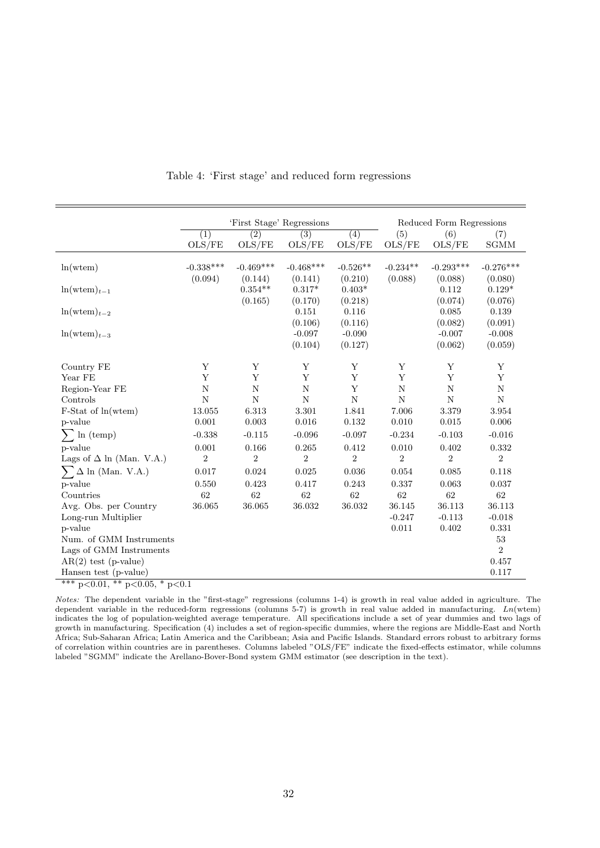|                                           |                  | 'First Stage' Regressions |                    |                  | Reduced Form Regressions |                |                |  |
|-------------------------------------------|------------------|---------------------------|--------------------|------------------|--------------------------|----------------|----------------|--|
|                                           | $\overline{(1)}$ | $\overline{(2)}$          | $\overline{(3)}$   | $\overline{(4)}$ | (5)                      | (6)            | (7)            |  |
|                                           | OLS/FE           | OLS/FE                    | OLS/FE             | OLS/FE           | OLS/FE                   | OLS/FE         | <b>SGMM</b>    |  |
|                                           |                  |                           |                    |                  |                          |                |                |  |
| ln(wtem)                                  | $-0.338***$      | $-0.469***$               | $-0.468***$        | $-0.526**$       | $-0.234**$               | $-0.293***$    | $-0.276***$    |  |
|                                           | (0.094)          | (0.144)                   | (0.141)            | (0.210)          | (0.088)                  | (0.088)        | (0.080)        |  |
| $ln(wtem)_{t-1}$                          |                  | $0.354**$                 | $0.317*$           | $0.403*$         |                          | 0.112          | $0.129*$       |  |
|                                           |                  | (0.165)                   | (0.170)            | (0.218)          |                          | (0.074)        | (0.076)        |  |
| $ln(wtem)_{t-2}$                          |                  |                           | 0.151              | 0.116            |                          | 0.085          | 0.139          |  |
|                                           |                  |                           | (0.106)            | (0.116)          |                          | (0.082)        | (0.091)        |  |
| $ln(wtem)_{t-3}$                          |                  |                           | $-0.097$           | $-0.090$         |                          | $-0.007$       | $-0.008$       |  |
|                                           |                  |                           | (0.104)            | (0.127)          |                          | (0.062)        | (0.059)        |  |
| Country FE                                | Y                | Y                         | Y                  | Y                | Y                        | Y              | Y              |  |
| Year FE                                   | Y                | Y                         | Y                  | Y                | Y                        | Y              | Y              |  |
| Region-Year FE                            | $\overline{N}$   | $\overline{N}$            | $\overline{\rm N}$ | Y                | ${\bf N}$                | $\overline{N}$ | $\mathbf N$    |  |
| Controls                                  | $\overline{N}$   | $\overline{N}$            | $\overline{N}$     | $\mathbf N$      | N                        | $\mathbf N$    | $\mathbf N$    |  |
| F-Stat of ln(wtem)                        | 13.055           | 6.313                     | 3.301              | 1.841            | 7.006                    | 3.379          | 3.954          |  |
| p-value                                   | 0.001            | $\,0.003\,$               | $0.016\,$          | 0.132            | 0.010                    | 0.015          | 0.006          |  |
| $\sum$ ln (temp)                          | $-0.338$         | $-0.115$                  | $-0.096$           | $-0.097$         | $-0.234$                 | $-0.103$       | $-0.016$       |  |
| p-value                                   | 0.001            | 0.166                     | 0.265              | 0.412            | 0.010                    | 0.402          | 0.332          |  |
| Lags of $\Delta$ ln (Man. V.A.)           | $\overline{2}$   | $\overline{2}$            | $\overline{2}$     | $\sqrt{2}$       | $\overline{2}$           | $\overline{2}$ | $\overline{2}$ |  |
| $\sum \Delta$ ln (Man. V.A.)              | 0.017            | 0.024                     | 0.025              | 0.036            | 0.054                    | 0.085          | 0.118          |  |
| p-value                                   | 0.550            | 0.423                     | 0.417              | 0.243            | 0.337                    | 0.063          | 0.037          |  |
| Countries                                 | 62               | 62                        | $62\,$             | 62               | 62                       | $62\,$         | 62             |  |
| Avg. Obs. per Country                     | 36.065           | 36.065                    | 36.032             | 36.032           | 36.145                   | 36.113         | 36.113         |  |
| Long-run Multiplier                       |                  |                           |                    |                  | $-0.247$                 | $-0.113$       | $-0.018$       |  |
| p-value                                   |                  |                           |                    |                  | 0.011                    | 0.402          | 0.331          |  |
| Num. of GMM Instruments                   |                  |                           |                    |                  |                          |                | 53             |  |
| Lags of GMM Instruments                   |                  |                           |                    |                  |                          |                | $\overline{2}$ |  |
| $AR(2)$ test (p-value)                    |                  |                           |                    |                  |                          |                | 0.457          |  |
| Hansen test (p-value)                     |                  |                           |                    |                  |                          |                | 0.117          |  |
| $p<0.01$ , ** $p<0.05$ , * $p<0.1$<br>*** |                  |                           |                    |                  |                          |                |                |  |

Table 4: 'First stage' and reduced form regressions

Notes: The dependent variable in the "first-stage" regressions (columns 1-4) is growth in real value added in agriculture. The dependent variable in the reduced-form regressions (columns 5-7) is growth in real value added in manufacturing.  $Ln(\text{wtem})$ indicates the log of population-weighted average temperature. All specifications include a set of year dummies and two lags of growth in manufacturing. Specification (4) includes a set of region-specific dummies, where the regions are Middle-East and North Africa; Sub-Saharan Africa; Latin America and the Caribbean; Asia and Pacific Islands. Standard errors robust to arbitrary forms of correlation within countries are in parentheses. Columns labeled "OLS/FE" indicate the fixed-effects estimator, while columns labeled "SGMM" indicate the Arellano-Bover-Bond system GMM estimator (see description in the text).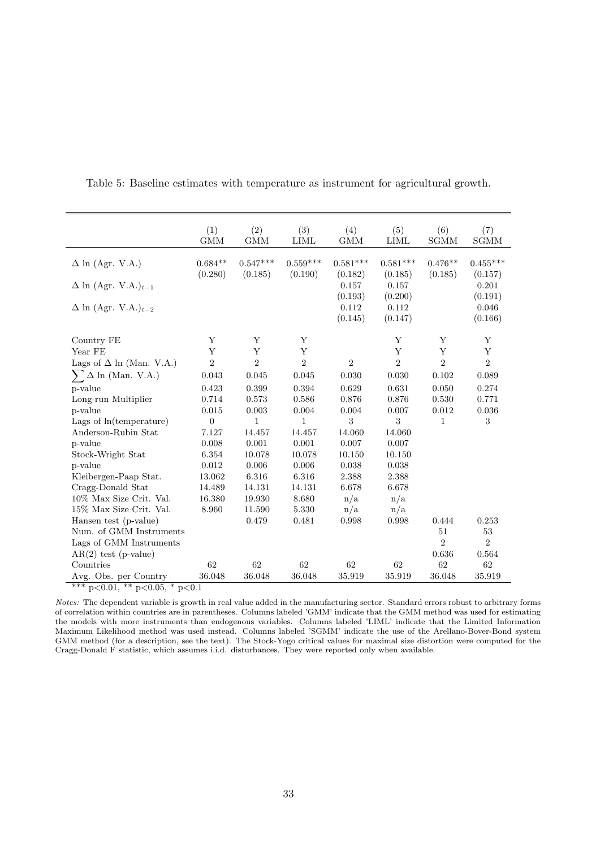|                                        | (1)<br><b>GMM</b>    | (2)<br><b>GMM</b>     | (3)<br><b>LIML</b>    | (4)<br><b>GMM</b>           | (5)<br><b>LIML</b>          | (6)<br><b>SGMM</b>   | (7)<br>SGMM                 |
|----------------------------------------|----------------------|-----------------------|-----------------------|-----------------------------|-----------------------------|----------------------|-----------------------------|
| $\Delta$ ln (Agr. V.A.)                | $0.684**$<br>(0.280) | $0.547***$<br>(0.185) | $0.559***$<br>(0.190) | $0.581***$<br>(0.182)       | $0.581***$<br>(0.185)       | $0.476**$<br>(0.185) | $0.455***$<br>(0.157)       |
| $\Delta$ ln (Agr. V.A.) <sub>t-1</sub> |                      |                       |                       | 0.157                       | 0.157                       |                      | 0.201                       |
| $\Delta$ ln (Agr. V.A.) $_{t-2}$       |                      |                       |                       | (0.193)<br>0.112<br>(0.145) | (0.200)<br>0.112<br>(0.147) |                      | (0.191)<br>0.046<br>(0.166) |
| Country FE                             | Y                    | Υ                     | Υ                     |                             | Y                           | Y                    | Y                           |
| Year FE                                | Y                    | Y                     | Y                     |                             | Y                           | Y                    | Y                           |
| Lags of $\Delta$ ln (Man. V.A.)        | $\overline{2}$       | $\overline{2}$        | $\overline{2}$        | $\overline{2}$              | $\overline{2}$              | $\overline{2}$       | $\overline{2}$              |
| $\sum \Delta$ ln (Man. V.A.)           | 0.043                | 0.045                 | 0.045                 | 0.030                       | 0.030                       | 0.102                | 0.089                       |
| p-value                                | 0.423                | 0.399                 | 0.394                 | 0.629                       | 0.631                       | 0.050                | 0.274                       |
| Long-run Multiplier                    | 0.714                | 0.573                 | 0.586                 | 0.876                       | 0.876                       | 0.530                | 0.771                       |
| p-value                                | 0.015                | $0.003\,$             | $0.004\,$             | 0.004                       | 0.007                       | 0.012                | 0.036                       |
| Lags of ln(temperature)                | $\boldsymbol{0}$     | $\mathbf{1}$          | 1                     | $\sqrt{3}$                  | 3                           | $\mathbf{1}$         | 3                           |
| Anderson-Rubin Stat                    | 7.127                | 14.457                | 14.457                | 14.060                      | 14.060                      |                      |                             |
| p-value                                | 0.008                | 0.001                 | 0.001                 | 0.007                       | 0.007                       |                      |                             |
| Stock-Wright Stat                      | 6.354                | 10.078                | 10.078                | 10.150                      | 10.150                      |                      |                             |
| p-value                                | 0.012                | 0.006                 | 0.006                 | $0.038\,$                   | 0.038                       |                      |                             |
| Kleibergen-Paap Stat.                  | 13.062               | 6.316                 | 6.316                 | 2.388                       | 2.388                       |                      |                             |
| Cragg-Donald Stat                      | 14.489               | 14.131                | 14.131                | 6.678                       | 6.678                       |                      |                             |
| 10% Max Size Crit. Val.                | 16.380               | 19.930                | 8.680                 | n/a                         | n/a                         |                      |                             |
| 15% Max Size Crit. Val.                | 8.960                | 11.590                | 5.330                 | n/a                         | n/a                         |                      |                             |
| Hansen test (p-value)                  |                      | 0.479                 | 0.481                 | 0.998                       | 0.998                       | 0.444                | 0.253                       |
| Num. of GMM Instruments                |                      |                       |                       |                             |                             | 51                   | 53                          |
| Lags of GMM Instruments                |                      |                       |                       |                             |                             | $\overline{2}$       | $\overline{2}$              |
| $AR(2)$ test (p-value)                 |                      |                       |                       |                             |                             | 0.636                | 0.564                       |
| Countries                              | 62                   | 62                    | 62                    | 62                          | 62                          | 62                   | 62                          |
| Avg. Obs. per Country                  | 36.048               | 36.048                | 36.048                | 35.919                      | 35.919                      | 36.048               | 35.919                      |
| *** $p<0.01$ , ** $p<0.05$ , * $p<0.1$ |                      |                       |                       |                             |                             |                      |                             |

Table 5: Baseline estimates with temperature as instrument for agricultural growth.

Notes: The dependent variable is growth in real value added in the manufacturing sector. Standard errors robust to arbitrary forms of correlation within countries are in parentheses. Columns labeled 'GMM' indicate that the GMM method was used for estimating the models with more instruments than endogenous variables. Columns labeled 'LIML' indicate that the Limited Information Maximum Likelihood method was used instead. Columns labeled 'SGMM' indicate the use of the Arellano-Bover-Bond system GMM method (for a description, see the text). The Stock-Yogo critical values for maximal size distortion were computed for the Cragg-Donald F statistic, which assumes i.i.d. disturbances. They were reported only when available.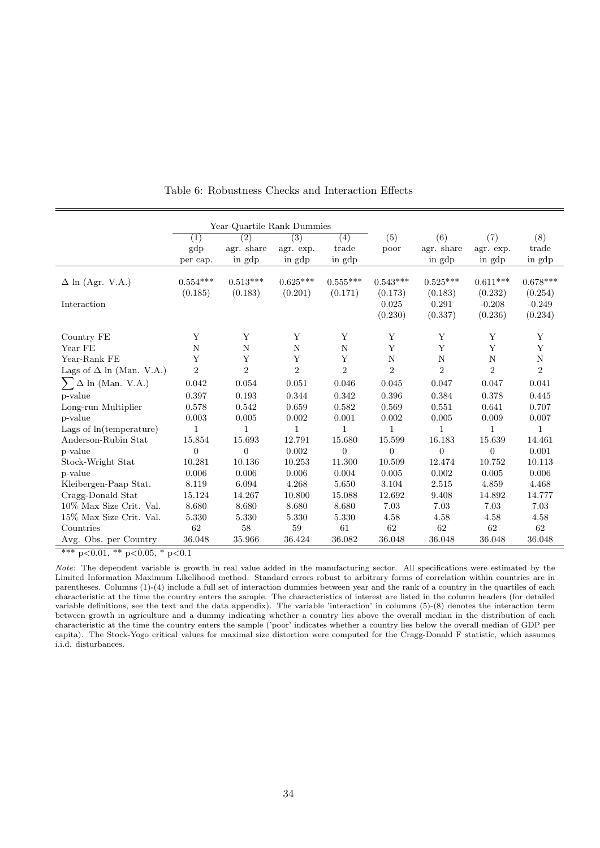|                                 | (1)                   | (2)                   | (3)                   | (4)                   | (5)                   | (6)                   | (7)                   | (8)                   |
|---------------------------------|-----------------------|-----------------------|-----------------------|-----------------------|-----------------------|-----------------------|-----------------------|-----------------------|
|                                 | gdp                   | agr. share            | agr. exp.             | trade                 | poor                  | agr. share            | agr. exp.             | trade                 |
|                                 | per cap.              | in gdp                | in gdp                | in gdp                |                       | in gdp                | in gdp                | in gdp                |
| $\Delta$ ln (Agr. V.A.)         | $0.554***$<br>(0.185) | $0.513***$<br>(0.183) | $0.625***$<br>(0.201) | $0.555***$<br>(0.171) | $0.543***$<br>(0.173) | $0.525***$<br>(0.183) | $0.611***$<br>(0.232) | $0.678***$<br>(0.254) |
| Interaction                     |                       |                       |                       |                       | 0.025                 | 0.291                 | $-0.208$              | $-0.249$              |
|                                 |                       |                       |                       |                       | (0.230)               | (0.337)               | (0.236)               | (0.234)               |
| Country FE                      | Y                     | Y                     | Y                     | Y                     | Υ                     | Y                     | Υ                     | Υ                     |
| Year FE                         | N                     | N                     | N                     | N                     | Y                     | Y                     | Y                     | Y                     |
| Year-Rank FE                    | Υ                     | Y                     | Y                     | Y                     | $\mathbf N$           | N                     | $\mathbf N$           | $\mathbf N$           |
| Lags of $\Delta$ ln (Man. V.A.) | $\boldsymbol{2}$      | $\overline{2}$        | $\overline{2}$        | $\overline{2}$        | $\overline{2}$        | $\overline{2}$        | $\sqrt{2}$            | $\overline{2}$        |
| $\Delta$ ln (Man. V.A.)         | 0.042                 | 0.054                 | 0.051                 | 0.046                 | 0.045                 | 0.047                 | 0.047                 | 0.041                 |
| p-value                         | 0.397                 | 0.193                 | 0.344                 | 0.342                 | 0.396                 | 0.384                 | 0.378                 | 0.445                 |
| Long-run Multiplier             | 0.578                 | 0.542                 | 0.659                 | 0.582                 | 0.569                 | 0.551                 | 0.641                 | 0.707                 |
| p-value                         | 0.003                 | 0.005                 | 0.002                 | 0.001                 | 0.002                 | 0.005                 | 0.009                 | 0.007                 |
| Lags of ln(temperature)         | 1                     | $\mathbf{1}$          | 1                     | $\mathbf{1}$          | $\mathbf{1}$          | $\mathbf{1}$          | 1                     | 1                     |
| Anderson-Rubin Stat             | 15.854                | 15.693                | 12.791                | 15.680                | 15.599                | 16.183                | 15.639                | 14.461                |
| p-value                         | $\overline{0}$        | $\Omega$              | 0.002                 | $\overline{0}$        | $\overline{0}$        | $\Omega$              | $\overline{0}$        | 0.001                 |
| Stock-Wright Stat               | 10.281                | 10.136                | 10.253                | 11.300                | 10.509                | 12.474                | 10.752                | 10.113                |
| p-value                         | 0.006                 | 0.006                 | 0.006                 | 0.004                 | 0.005                 | 0.002                 | 0.005                 | 0.006                 |
| Kleibergen-Paap Stat.           | 8.119                 | 6.094                 | 4.268                 | 5.650                 | 3.104                 | 2.515                 | 4.859                 | 4.468                 |
| Cragg-Donald Stat               | 15.124                | 14.267                | 10.800                | 15.088                | 12.692                | 9.408                 | 14.892                | 14.777                |
| 10% Max Size Crit. Val.         | 8.680                 | 8.680                 | 8.680                 | 8.680                 | 7.03                  | 7.03                  | 7.03                  | 7.03                  |
| 15% Max Size Crit. Val.         | 5.330                 | 5.330                 | 5.330                 | 5.330                 | 4.58                  | 4.58                  | 4.58                  | 4.58                  |
| Countries                       | 62                    | 58                    | 59                    | 61                    | 62                    | 62                    | 62                    | 62                    |
| Avg. Obs. per Country           | 36.048                | 35.966                | 36.424                | 36.082                | 36.048                | 36.048                | 36.048                | 36.048                |

Table 6: Robustness Checks and Interaction Effects

 $\frac{1}{2}$  \*\*\* p<0.01, \*\* p<0.05, \* p<0.1

Note: The dependent variable is growth in real value added in the manufacturing sector. All specifications were estimated by the Limited Information Maximum Likelihood method. Standard errors robust to arbitrary forms of correlation within countries are in parentheses. Columns (1)-(4) include a full set of interaction dummies between year and the rank of a country in the quartiles of each characteristic at the time the country enters the sample. The characteristics of interest are listed in the column headers (for detailed variable definitions, see the text and the data appendix). The variable 'interaction' in columns (5)-(8) denotes the interaction term between growth in agriculture and a dummy indicating whether a country lies above the overall median in the distribution of each characteristic at the time the country enters the sample ('poor' indicates whether a country lies below the overall median of GDP per capita). The Stock-Yogo critical values for maximal size distortion were computed for the Cragg-Donald F statistic, which assumes i.i.d. disturbances.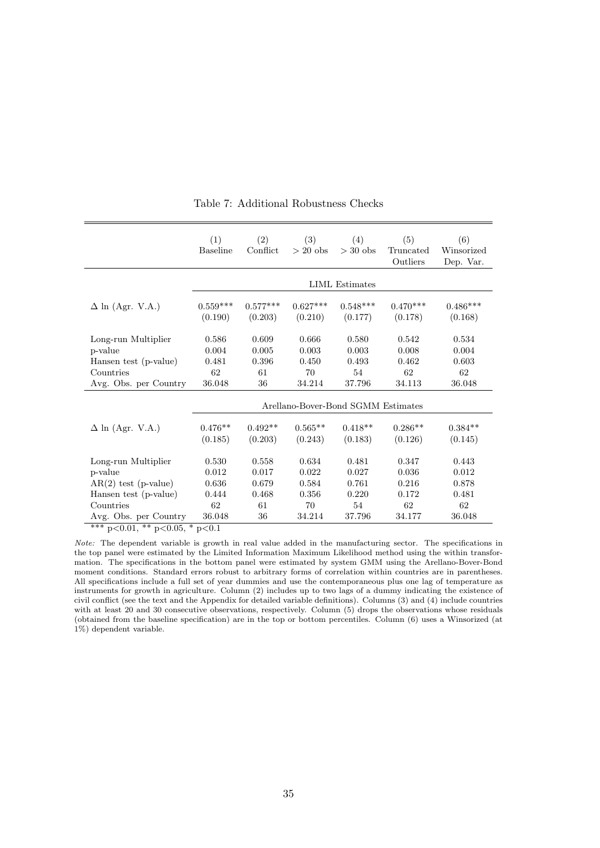|                                                                 | (1)<br><b>Baseline</b> | (2)<br>Conflict                    | (3)<br>$> 20$ obs | (4)<br>$>$ 30 obs | (5)<br>Truncated<br>Outliers | (6)<br>Winsorized<br>Dep. Var. |  |  |  |  |
|-----------------------------------------------------------------|------------------------|------------------------------------|-------------------|-------------------|------------------------------|--------------------------------|--|--|--|--|
|                                                                 | LIML Estimates         |                                    |                   |                   |                              |                                |  |  |  |  |
| $\Delta$ ln (Agr. V.A.)                                         | $0.559***$             | $0.577***$                         | $0.627***$        | $0.548***$        | $0.470***$                   | $0.486***$                     |  |  |  |  |
|                                                                 | (0.190)                | (0.203)                            | (0.210)           | (0.177)           | (0.178)                      | (0.168)                        |  |  |  |  |
| Long-run Multiplier                                             | 0.586                  | 0.609                              | 0.666             | 0.580             | 0.542                        | 0.534                          |  |  |  |  |
| p-value                                                         | 0.004                  | 0.005                              | 0.003             | 0.003             | 0.008                        | 0.004                          |  |  |  |  |
| Hansen test (p-value)                                           | 0.481                  | 0.396                              | 0.450             | 0.493             | 0.462                        | 0.603                          |  |  |  |  |
| Countries                                                       | 62                     | 61                                 | 70                | 54                | 62                           | 62                             |  |  |  |  |
| Avg. Obs. per Country                                           | 36.048                 | 36                                 | 34.214            | 37.796            | 34.113                       | 36.048                         |  |  |  |  |
|                                                                 |                        | Arellano-Bover-Bond SGMM Estimates |                   |                   |                              |                                |  |  |  |  |
| $\Delta$ ln (Agr. V.A.)                                         | $0.476**$              | $0.492**$                          | $0.565**$         | $0.418**$         | $0.286**$                    | $0.384**$                      |  |  |  |  |
|                                                                 | (0.185)                | (0.203)                            | (0.243)           | (0.183)           | (0.126)                      | (0.145)                        |  |  |  |  |
| Long-run Multiplier                                             | 0.530                  | 0.558                              | 0.634             | 0.481             | 0.347                        | 0.443                          |  |  |  |  |
| p-value                                                         | 0.012                  | 0.017                              | 0.022             | 0.027             | 0.036                        | 0.012                          |  |  |  |  |
| $AR(2)$ test (p-value)                                          | $0.636\,$              | 0.679                              | 0.584             | 0.761             | 0.216                        | 0.878                          |  |  |  |  |
| Hansen test (p-value)                                           | 0.444                  | 0.468                              | 0.356             | 0.220             | 0.172                        | 0.481                          |  |  |  |  |
| Countries                                                       | 62                     | 61                                 | 70                | 54                | 62                           | 62                             |  |  |  |  |
| Avg. Obs. per Country<br>*** $p<0.01$ , ** $p<0.05$ , * $p<0.1$ | 36.048                 | 36                                 | 34.214            | 37.796            | 34.177                       | 36.048                         |  |  |  |  |

Table 7: Additional Robustness Checks

Note: The dependent variable is growth in real value added in the manufacturing sector. The specifications in the top panel were estimated by the Limited Information Maximum Likelihood method using the within transformation. The specifications in the bottom panel were estimated by system GMM using the Arellano-Bover-Bond moment conditions. Standard errors robust to arbitrary forms of correlation within countries are in parentheses. All specifications include a full set of year dummies and use the contemporaneous plus one lag of temperature as instruments for growth in agriculture. Column (2) includes up to two lags of a dummy indicating the existence of civil conflict (see the text and the Appendix for detailed variable definitions). Columns (3) and (4) include countries with at least 20 and 30 consecutive observations, respectively. Column (5) drops the observations whose residuals (obtained from the baseline specification) are in the top or bottom percentiles. Column (6) uses a Winsorized (at 1%) dependent variable.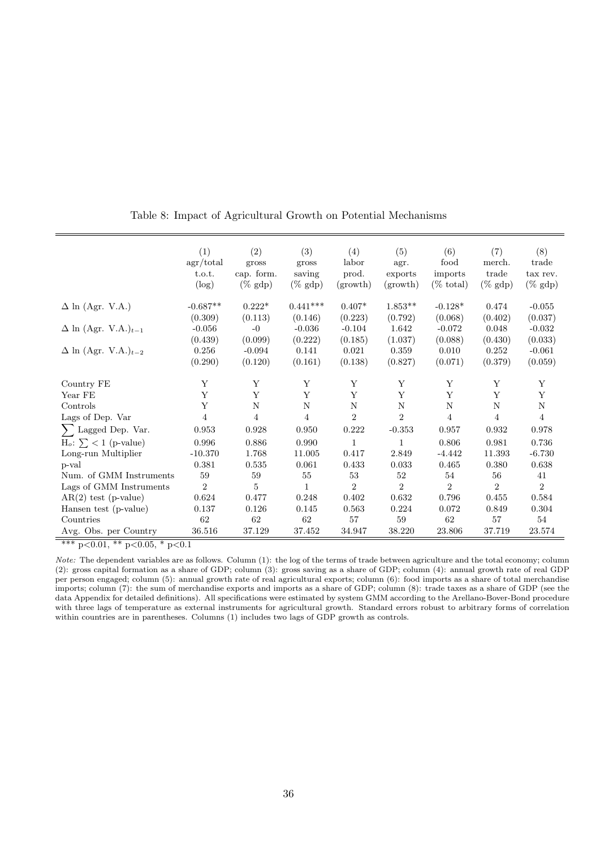|                                        | (1)<br>agr/total<br>t.o.t.<br>$(\log)$ | (2)<br>gross<br>cap. form.<br>$(\%$ gdp) | (3)<br>gross<br>saving<br>$(\%$ gdp) | (4)<br>labor<br>prod.<br>(growth) | (5)<br>agr.<br>exports<br>(growth) | (6)<br>food<br>imports<br>$(\% \text{ total})$ | (7)<br>merch.<br>trade<br>$(\%$ gdp $)$ | (8)<br>trade<br>tax rev.<br>$(\%$ gdp) |
|----------------------------------------|----------------------------------------|------------------------------------------|--------------------------------------|-----------------------------------|------------------------------------|------------------------------------------------|-----------------------------------------|----------------------------------------|
| $\Delta$ ln (Agr. V.A.)                | $-0.687**$                             | $0.222*$                                 | $0.441***$                           | $0.407*$                          | $1.853**$                          | $-0.128*$                                      | 0.474                                   | $-0.055$                               |
| $\Delta$ ln (Agr. V.A.) $_{t-1}$       | (0.309)<br>$-0.056$<br>(0.439)         | (0.113)<br>$-0$<br>(0.099)               | (0.146)<br>$-0.036$<br>(0.222)       | (0.223)<br>$-0.104$<br>(0.185)    | (0.792)<br>1.642<br>(1.037)        | (0.068)<br>$-0.072$<br>(0.088)                 | (0.402)<br>0.048<br>(0.430)             | (0.037)<br>$-0.032$<br>(0.033)         |
| $\Delta$ ln (Agr. V.A.) <sub>t-2</sub> | 0.256<br>(0.290)                       | $-0.094$<br>(0.120)                      | 0.141<br>(0.161)                     | 0.021<br>(0.138)                  | 0.359<br>(0.827)                   | 0.010<br>(0.071)                               | 0.252<br>(0.379)                        | $-0.061$<br>(0.059)                    |
| Country FE                             | Y                                      | Υ                                        | Y                                    | Y                                 | Y                                  | Y                                              | Y                                       | Y                                      |
| Year FE                                | Y                                      | Y                                        | Y                                    | Y                                 | Y                                  | Y                                              | Y                                       | Y                                      |
| Controls                               | Y                                      | $\mathbf N$                              | $\mathbf N$                          | $\mathbf N$                       | N                                  | N                                              | N                                       | $\mathbf N$                            |
| Lags of Dep. Var                       | $\overline{4}$                         | $\overline{4}$                           | $\overline{4}$                       | $\overline{2}$                    | $\overline{2}$                     | $\overline{4}$                                 | $\overline{4}$                          | $\overline{4}$                         |
| $\sum$ Lagged Dep. Var.                | 0.953                                  | 0.928                                    | 0.950                                | 0.222                             | $-0.353$                           | 0.957                                          | 0.932                                   | 0.978                                  |
| $H_o: \sum$ < 1 (p-value)              | 0.996                                  | 0.886                                    | 0.990                                | 1                                 | 1                                  | 0.806                                          | 0.981                                   | $0.736\,$                              |
| Long-run Multiplier                    | $-10.370$                              | 1.768                                    | 11.005                               | 0.417                             | 2.849                              | $-4.442$                                       | 11.393                                  | $-6.730$                               |
| p-val                                  | 0.381                                  | 0.535                                    | 0.061                                | 0.433                             | 0.033                              | $0.465\,$                                      | 0.380                                   | 0.638                                  |
| Num. of GMM Instruments                | 59                                     | 59                                       | 55                                   | 53                                | 52                                 | 54                                             | 56                                      | 41                                     |
| Lags of GMM Instruments                | $\overline{2}$                         | 5                                        | 1                                    | $\overline{2}$                    | $\overline{2}$                     | $\overline{2}$                                 | $\overline{2}$                          | $\overline{2}$                         |
| $AR(2)$ test (p-value)                 | 0.624                                  | 0.477                                    | 0.248                                | 0.402                             | 0.632                              | 0.796                                          | 0.455                                   | 0.584                                  |
| Hansen test (p-value)                  | 0.137                                  | 0.126                                    | 0.145                                | 0.563                             | 0.224                              | 0.072                                          | 0.849                                   | 0.304                                  |
| Countries                              | 62                                     | 62                                       | 62                                   | 57                                | 59                                 | 62                                             | 57                                      | 54                                     |
| Avg. Obs. per Country                  | 36.516                                 | 37.129                                   | 37.452                               | 34.947                            | 38.220                             | 23.806                                         | 37.719                                  | 23.574                                 |

Table 8: Impact of Agricultural Growth on Potential Mechanisms

 $\frac{1.186 \times 10^{-4} \text{ F}}{4 \times 10^{-4} \text{ F}} \times 0.01, \frac{1.186 \times 10^{-4} \text{ F}}{1 \times 10^{-4} \text{ F}} \times 0.05, \frac{1.186 \times 10^{-4} \text{ F}}{1 \times 10^{-4} \text{ F}} \times 0.01, \frac{1.186 \times 10^{-4} \text{ F}}{1 \times 10^{-4} \text{ F}} \times 0.01, \frac{1.186 \times 10^{-4} \text{ F}}{1 \times 10^{-4} \text{ F}} \times 0.01,$ 

Note: The dependent variables are as follows. Column (1): the log of the terms of trade between agriculture and the total economy; column (2): gross capital formation as a share of GDP; column (3): gross saving as a share of GDP; column (4): annual growth rate of real GDP per person engaged; column (5): annual growth rate of real agricultural exports; column (6): food imports as a share of total merchandise imports; column (7): the sum of merchandise exports and imports as a share of GDP; column (8): trade taxes as a share of GDP (see the data Appendix for detailed definitions). All specifications were estimated by system GMM according to the Arellano-Bover-Bond procedure with three lags of temperature as external instruments for agricultural growth. Standard errors robust to arbitrary forms of correlation within countries are in parentheses. Columns (1) includes two lags of GDP growth as controls.